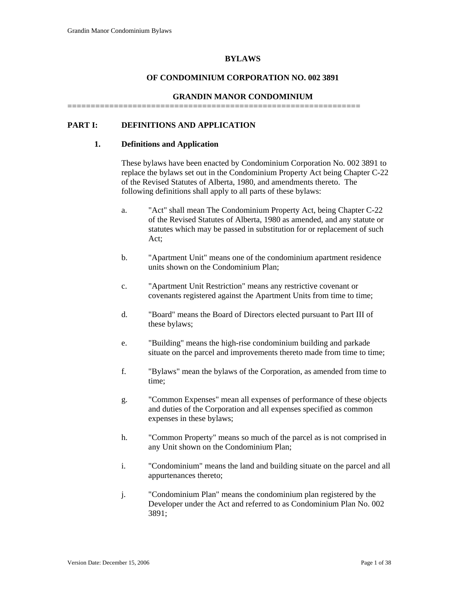#### **BYLAWS**

#### **OF CONDOMINIUM CORPORATION NO. 002 3891**

#### **GRANDIN MANOR CONDOMINIUM**

===============================================================

### **PART I: DEFINITIONS AND APPLICATION**

#### **1. Definitions and Application**

These bylaws have been enacted by Condominium Corporation No. 002 3891 to replace the bylaws set out in the Condominium Property Act being Chapter C-22 of the Revised Statutes of Alberta, 1980, and amendments thereto. The following definitions shall apply to all parts of these bylaws:

- a. "Act" shall mean The Condominium Property Act, being Chapter C-22 of the Revised Statutes of Alberta, 1980 as amended, and any statute or statutes which may be passed in substitution for or replacement of such Act;
- b. "Apartment Unit" means one of the condominium apartment residence units shown on the Condominium Plan;
- c. "Apartment Unit Restriction" means any restrictive covenant or covenants registered against the Apartment Units from time to time;
- d. "Board" means the Board of Directors elected pursuant to Part III of these bylaws;
- e. "Building" means the high-rise condominium building and parkade situate on the parcel and improvements thereto made from time to time;
- f. "Bylaws" mean the bylaws of the Corporation, as amended from time to time;
- g. "Common Expenses" mean all expenses of performance of these objects and duties of the Corporation and all expenses specified as common expenses in these bylaws;
- h. "Common Property" means so much of the parcel as is not comprised in any Unit shown on the Condominium Plan;
- i. "Condominium" means the land and building situate on the parcel and all appurtenances thereto;
- j. "Condominium Plan" means the condominium plan registered by the Developer under the Act and referred to as Condominium Plan No. 002 3891;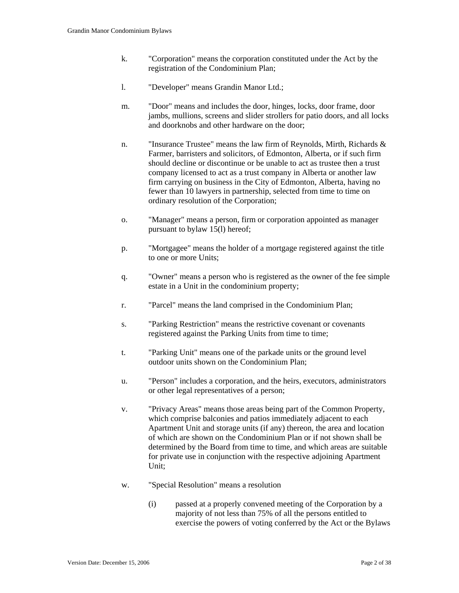- k. "Corporation" means the corporation constituted under the Act by the registration of the Condominium Plan;
- l. "Developer" means Grandin Manor Ltd.;
- m. "Door" means and includes the door, hinges, locks, door frame, door jambs, mullions, screens and slider strollers for patio doors, and all locks and doorknobs and other hardware on the door;
- n. "Insurance Trustee" means the law firm of Reynolds, Mirth, Richards & Farmer, barristers and solicitors, of Edmonton, Alberta, or if such firm should decline or discontinue or be unable to act as trustee then a trust company licensed to act as a trust company in Alberta or another law firm carrying on business in the City of Edmonton, Alberta, having no fewer than 10 lawyers in partnership, selected from time to time on ordinary resolution of the Corporation;
- o. "Manager" means a person, firm or corporation appointed as manager pursuant to bylaw 15(l) hereof;
- p. "Mortgagee" means the holder of a mortgage registered against the title to one or more Units;
- q. "Owner" means a person who is registered as the owner of the fee simple estate in a Unit in the condominium property;
- r. "Parcel" means the land comprised in the Condominium Plan;
- s. "Parking Restriction" means the restrictive covenant or covenants registered against the Parking Units from time to time;
- t. "Parking Unit" means one of the parkade units or the ground level outdoor units shown on the Condominium Plan;
- u. "Person" includes a corporation, and the heirs, executors, administrators or other legal representatives of a person;
- v. "Privacy Areas" means those areas being part of the Common Property, which comprise balconies and patios immediately adjacent to each Apartment Unit and storage units (if any) thereon, the area and location of which are shown on the Condominium Plan or if not shown shall be determined by the Board from time to time, and which areas are suitable for private use in conjunction with the respective adjoining Apartment Unit;
- w. "Special Resolution" means a resolution
	- (i) passed at a properly convened meeting of the Corporation by a majority of not less than 75% of all the persons entitled to exercise the powers of voting conferred by the Act or the Bylaws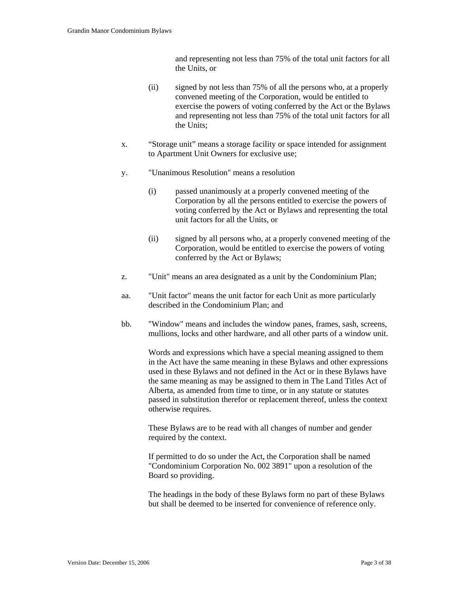and representing not less than 75% of the total unit factors for all the Units, or

- (ii) signed by not less than 75% of all the persons who, at a properly convened meeting of the Corporation, would be entitled to exercise the powers of voting conferred by the Act or the Bylaws and representing not less than 75% of the total unit factors for all the Units;
- x. "Storage unit" means a storage facility or space intended for assignment to Apartment Unit Owners for exclusive use;
- y. "Unanimous Resolution" means a resolution
	- (i) passed unanimously at a properly convened meeting of the Corporation by all the persons entitled to exercise the powers of voting conferred by the Act or Bylaws and representing the total unit factors for all the Units, or
	- (ii) signed by all persons who, at a properly convened meeting of the Corporation, would be entitled to exercise the powers of voting conferred by the Act or Bylaws;
- z. "Unit" means an area designated as a unit by the Condominium Plan;
- aa. "Unit factor" means the unit factor for each Unit as more particularly described in the Condominium Plan; and
- bb. "Window" means and includes the window panes, frames, sash, screens, mullions, locks and other hardware, and all other parts of a window unit.

Words and expressions which have a special meaning assigned to them in the Act have the same meaning in these Bylaws and other expressions used in these Bylaws and not defined in the Act or in these Bylaws have the same meaning as may be assigned to them in The Land Titles Act of Alberta, as amended from time to time, or in any statute or statutes passed in substitution therefor or replacement thereof, unless the context otherwise requires.

These Bylaws are to be read with all changes of number and gender required by the context.

If permitted to do so under the Act, the Corporation shall be named "Condominium Corporation No. 002 3891" upon a resolution of the Board so providing.

The headings in the body of these Bylaws form no part of these Bylaws but shall be deemed to be inserted for convenience of reference only.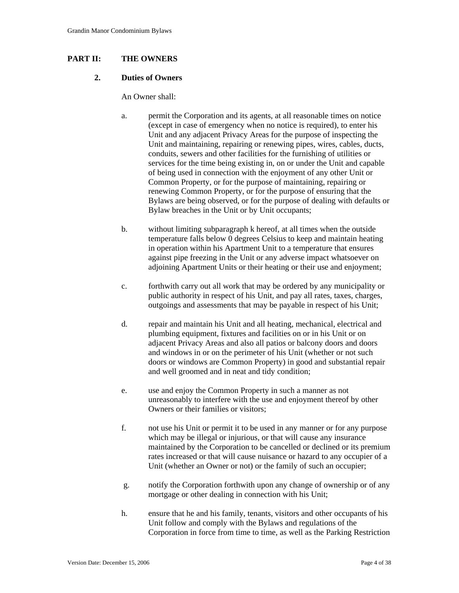## **PART II: THE OWNERS**

#### **2. Duties of Owners**

An Owner shall:

- a. permit the Corporation and its agents, at all reasonable times on notice (except in case of emergency when no notice is required), to enter his Unit and any adjacent Privacy Areas for the purpose of inspecting the Unit and maintaining, repairing or renewing pipes, wires, cables, ducts, conduits, sewers and other facilities for the furnishing of utilities or services for the time being existing in, on or under the Unit and capable of being used in connection with the enjoyment of any other Unit or Common Property, or for the purpose of maintaining, repairing or renewing Common Property, or for the purpose of ensuring that the Bylaws are being observed, or for the purpose of dealing with defaults or Bylaw breaches in the Unit or by Unit occupants;
- b. without limiting subparagraph k hereof, at all times when the outside temperature falls below 0 degrees Celsius to keep and maintain heating in operation within his Apartment Unit to a temperature that ensures against pipe freezing in the Unit or any adverse impact whatsoever on adjoining Apartment Units or their heating or their use and enjoyment;
- c. forthwith carry out all work that may be ordered by any municipality or public authority in respect of his Unit, and pay all rates, taxes, charges, outgoings and assessments that may be payable in respect of his Unit;
- d. repair and maintain his Unit and all heating, mechanical, electrical and plumbing equipment, fixtures and facilities on or in his Unit or on adjacent Privacy Areas and also all patios or balcony doors and doors and windows in or on the perimeter of his Unit (whether or not such doors or windows are Common Property) in good and substantial repair and well groomed and in neat and tidy condition;
- e. use and enjoy the Common Property in such a manner as not unreasonably to interfere with the use and enjoyment thereof by other Owners or their families or visitors;
- f. not use his Unit or permit it to be used in any manner or for any purpose which may be illegal or injurious, or that will cause any insurance maintained by the Corporation to be cancelled or declined or its premium rates increased or that will cause nuisance or hazard to any occupier of a Unit (whether an Owner or not) or the family of such an occupier;
- g. notify the Corporation forthwith upon any change of ownership or of any mortgage or other dealing in connection with his Unit;
- h. ensure that he and his family, tenants, visitors and other occupants of his Unit follow and comply with the Bylaws and regulations of the Corporation in force from time to time, as well as the Parking Restriction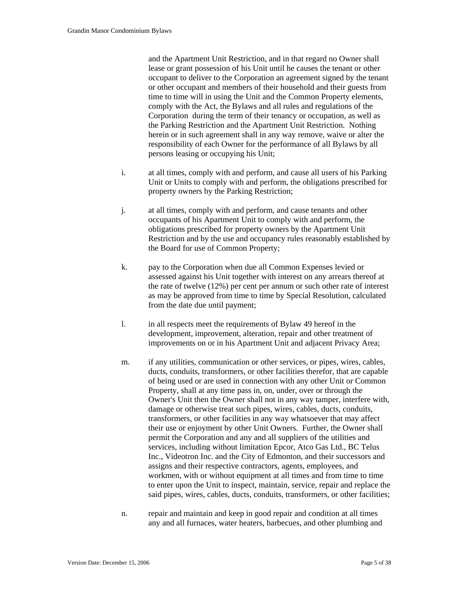and the Apartment Unit Restriction, and in that regard no Owner shall lease or grant possession of his Unit until he causes the tenant or other occupant to deliver to the Corporation an agreement signed by the tenant or other occupant and members of their household and their guests from time to time will in using the Unit and the Common Property elements, comply with the Act, the Bylaws and all rules and regulations of the Corporation during the term of their tenancy or occupation, as well as the Parking Restriction and the Apartment Unit Restriction. Nothing herein or in such agreement shall in any way remove, waive or alter the responsibility of each Owner for the performance of all Bylaws by all persons leasing or occupying his Unit;

- i. at all times, comply with and perform, and cause all users of his Parking Unit or Units to comply with and perform, the obligations prescribed for property owners by the Parking Restriction;
- j. at all times, comply with and perform, and cause tenants and other occupants of his Apartment Unit to comply with and perform, the obligations prescribed for property owners by the Apartment Unit Restriction and by the use and occupancy rules reasonably established by the Board for use of Common Property;
- k. pay to the Corporation when due all Common Expenses levied or assessed against his Unit together with interest on any arrears thereof at the rate of twelve (12%) per cent per annum or such other rate of interest as may be approved from time to time by Special Resolution, calculated from the date due until payment;
- l. in all respects meet the requirements of Bylaw 49 hereof in the development, improvement, alteration, repair and other treatment of improvements on or in his Apartment Unit and adjacent Privacy Area;
- m. if any utilities, communication or other services, or pipes, wires, cables, ducts, conduits, transformers, or other facilities therefor, that are capable of being used or are used in connection with any other Unit or Common Property, shall at any time pass in, on, under, over or through the Owner's Unit then the Owner shall not in any way tamper, interfere with, damage or otherwise treat such pipes, wires, cables, ducts, conduits, transformers, or other facilities in any way whatsoever that may affect their use or enjoyment by other Unit Owners. Further, the Owner shall permit the Corporation and any and all suppliers of the utilities and services, including without limitation Epcor, Atco Gas Ltd., BC Telus Inc., Videotron Inc. and the City of Edmonton, and their successors and assigns and their respective contractors, agents, employees, and workmen, with or without equipment at all times and from time to time to enter upon the Unit to inspect, maintain, service, repair and replace the said pipes, wires, cables, ducts, conduits, transformers, or other facilities;
- n. repair and maintain and keep in good repair and condition at all times any and all furnaces, water heaters, barbecues, and other plumbing and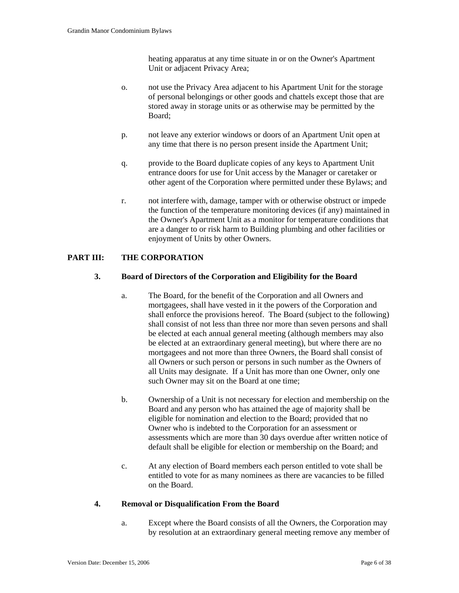heating apparatus at any time situate in or on the Owner's Apartment Unit or adjacent Privacy Area;

- o. not use the Privacy Area adjacent to his Apartment Unit for the storage of personal belongings or other goods and chattels except those that are stored away in storage units or as otherwise may be permitted by the Board;
- p. not leave any exterior windows or doors of an Apartment Unit open at any time that there is no person present inside the Apartment Unit;
- q. provide to the Board duplicate copies of any keys to Apartment Unit entrance doors for use for Unit access by the Manager or caretaker or other agent of the Corporation where permitted under these Bylaws; and
- r. not interfere with, damage, tamper with or otherwise obstruct or impede the function of the temperature monitoring devices (if any) maintained in the Owner's Apartment Unit as a monitor for temperature conditions that are a danger to or risk harm to Building plumbing and other facilities or enjoyment of Units by other Owners.

# **PART III: THE CORPORATION**

## **3. Board of Directors of the Corporation and Eligibility for the Board**

- a. The Board, for the benefit of the Corporation and all Owners and mortgagees, shall have vested in it the powers of the Corporation and shall enforce the provisions hereof. The Board (subject to the following) shall consist of not less than three nor more than seven persons and shall be elected at each annual general meeting (although members may also be elected at an extraordinary general meeting), but where there are no mortgagees and not more than three Owners, the Board shall consist of all Owners or such person or persons in such number as the Owners of all Units may designate. If a Unit has more than one Owner, only one such Owner may sit on the Board at one time;
- b. Ownership of a Unit is not necessary for election and membership on the Board and any person who has attained the age of majority shall be eligible for nomination and election to the Board; provided that no Owner who is indebted to the Corporation for an assessment or assessments which are more than 30 days overdue after written notice of default shall be eligible for election or membership on the Board; and
- c. At any election of Board members each person entitled to vote shall be entitled to vote for as many nominees as there are vacancies to be filled on the Board.

#### **4. Removal or Disqualification From the Board**

a. Except where the Board consists of all the Owners, the Corporation may by resolution at an extraordinary general meeting remove any member of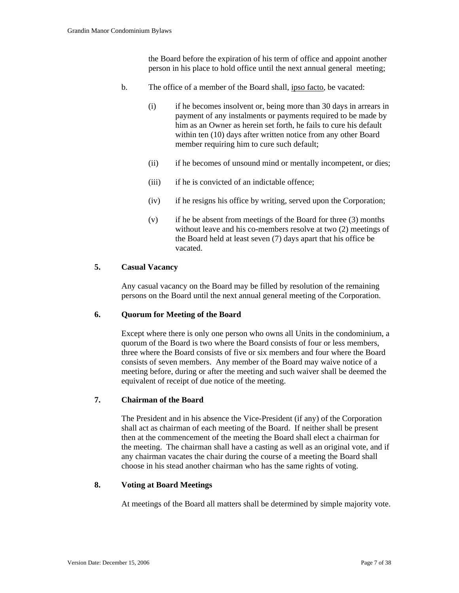the Board before the expiration of his term of office and appoint another person in his place to hold office until the next annual general meeting;

- b. The office of a member of the Board shall, ipso facto, be vacated:
	- (i) if he becomes insolvent or, being more than 30 days in arrears in payment of any instalments or payments required to be made by him as an Owner as herein set forth, he fails to cure his default within ten (10) days after written notice from any other Board member requiring him to cure such default;
	- (ii) if he becomes of unsound mind or mentally incompetent, or dies;
	- (iii) if he is convicted of an indictable offence;
	- (iv) if he resigns his office by writing, served upon the Corporation;
	- (v) if he be absent from meetings of the Board for three (3) months without leave and his co-members resolve at two (2) meetings of the Board held at least seven (7) days apart that his office be vacated.

## **5. Casual Vacancy**

Any casual vacancy on the Board may be filled by resolution of the remaining persons on the Board until the next annual general meeting of the Corporation.

#### **6. Quorum for Meeting of the Board**

Except where there is only one person who owns all Units in the condominium, a quorum of the Board is two where the Board consists of four or less members, three where the Board consists of five or six members and four where the Board consists of seven members. Any member of the Board may waive notice of a meeting before, during or after the meeting and such waiver shall be deemed the equivalent of receipt of due notice of the meeting.

### **7. Chairman of the Board**

The President and in his absence the Vice-President (if any) of the Corporation shall act as chairman of each meeting of the Board. If neither shall be present then at the commencement of the meeting the Board shall elect a chairman for the meeting. The chairman shall have a casting as well as an original vote, and if any chairman vacates the chair during the course of a meeting the Board shall choose in his stead another chairman who has the same rights of voting.

#### **8. Voting at Board Meetings**

At meetings of the Board all matters shall be determined by simple majority vote.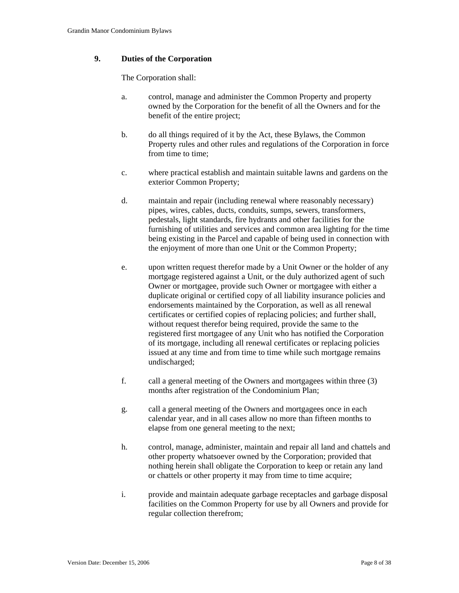# **9. Duties of the Corporation**

The Corporation shall:

- a. control, manage and administer the Common Property and property owned by the Corporation for the benefit of all the Owners and for the benefit of the entire project;
- b. do all things required of it by the Act, these Bylaws, the Common Property rules and other rules and regulations of the Corporation in force from time to time:
- c. where practical establish and maintain suitable lawns and gardens on the exterior Common Property;
- d. maintain and repair (including renewal where reasonably necessary) pipes, wires, cables, ducts, conduits, sumps, sewers, transformers, pedestals, light standards, fire hydrants and other facilities for the furnishing of utilities and services and common area lighting for the time being existing in the Parcel and capable of being used in connection with the enjoyment of more than one Unit or the Common Property;
- e. upon written request therefor made by a Unit Owner or the holder of any mortgage registered against a Unit, or the duly authorized agent of such Owner or mortgagee, provide such Owner or mortgagee with either a duplicate original or certified copy of all liability insurance policies and endorsements maintained by the Corporation, as well as all renewal certificates or certified copies of replacing policies; and further shall, without request therefor being required, provide the same to the registered first mortgagee of any Unit who has notified the Corporation of its mortgage, including all renewal certificates or replacing policies issued at any time and from time to time while such mortgage remains undischarged;
- f. call a general meeting of the Owners and mortgagees within three (3) months after registration of the Condominium Plan;
- g. call a general meeting of the Owners and mortgagees once in each calendar year, and in all cases allow no more than fifteen months to elapse from one general meeting to the next;
- h. control, manage, administer, maintain and repair all land and chattels and other property whatsoever owned by the Corporation; provided that nothing herein shall obligate the Corporation to keep or retain any land or chattels or other property it may from time to time acquire;
- i. provide and maintain adequate garbage receptacles and garbage disposal facilities on the Common Property for use by all Owners and provide for regular collection therefrom;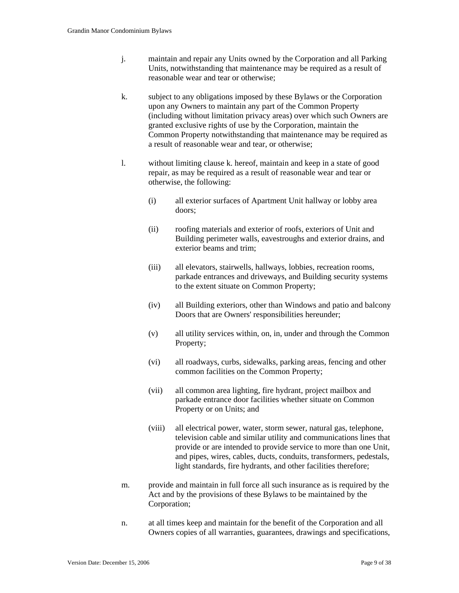- j. maintain and repair any Units owned by the Corporation and all Parking Units, notwithstanding that maintenance may be required as a result of reasonable wear and tear or otherwise;
- k. subject to any obligations imposed by these Bylaws or the Corporation upon any Owners to maintain any part of the Common Property (including without limitation privacy areas) over which such Owners are granted exclusive rights of use by the Corporation, maintain the Common Property notwithstanding that maintenance may be required as a result of reasonable wear and tear, or otherwise;
- l. without limiting clause k. hereof, maintain and keep in a state of good repair, as may be required as a result of reasonable wear and tear or otherwise, the following:
	- (i) all exterior surfaces of Apartment Unit hallway or lobby area doors;
	- (ii) roofing materials and exterior of roofs, exteriors of Unit and Building perimeter walls, eavestroughs and exterior drains, and exterior beams and trim;
	- (iii) all elevators, stairwells, hallways, lobbies, recreation rooms, parkade entrances and driveways, and Building security systems to the extent situate on Common Property;
	- (iv) all Building exteriors, other than Windows and patio and balcony Doors that are Owners' responsibilities hereunder;
	- (v) all utility services within, on, in, under and through the Common Property;
	- (vi) all roadways, curbs, sidewalks, parking areas, fencing and other common facilities on the Common Property;
	- (vii) all common area lighting, fire hydrant, project mailbox and parkade entrance door facilities whether situate on Common Property or on Units; and
	- (viii) all electrical power, water, storm sewer, natural gas, telephone, television cable and similar utility and communications lines that provide or are intended to provide service to more than one Unit, and pipes, wires, cables, ducts, conduits, transformers, pedestals, light standards, fire hydrants, and other facilities therefore;
- m. provide and maintain in full force all such insurance as is required by the Act and by the provisions of these Bylaws to be maintained by the Corporation;
- n. at all times keep and maintain for the benefit of the Corporation and all Owners copies of all warranties, guarantees, drawings and specifications,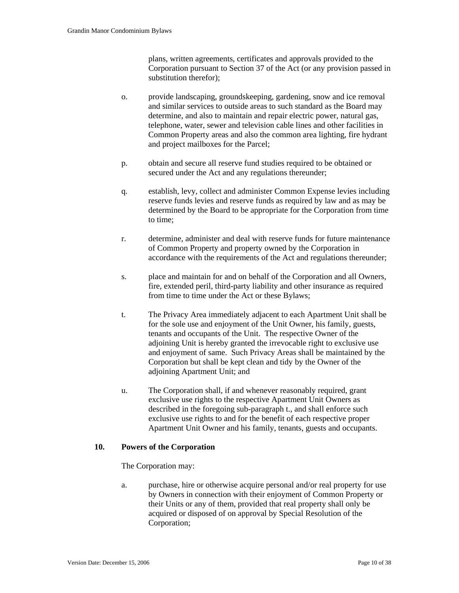plans, written agreements, certificates and approvals provided to the Corporation pursuant to Section 37 of the Act (or any provision passed in substitution therefor);

- o. provide landscaping, groundskeeping, gardening, snow and ice removal and similar services to outside areas to such standard as the Board may determine, and also to maintain and repair electric power, natural gas, telephone, water, sewer and television cable lines and other facilities in Common Property areas and also the common area lighting, fire hydrant and project mailboxes for the Parcel;
- p. obtain and secure all reserve fund studies required to be obtained or secured under the Act and any regulations thereunder;
- q. establish, levy, collect and administer Common Expense levies including reserve funds levies and reserve funds as required by law and as may be determined by the Board to be appropriate for the Corporation from time to time;
- r. determine, administer and deal with reserve funds for future maintenance of Common Property and property owned by the Corporation in accordance with the requirements of the Act and regulations thereunder;
- s. place and maintain for and on behalf of the Corporation and all Owners, fire, extended peril, third-party liability and other insurance as required from time to time under the Act or these Bylaws;
- t. The Privacy Area immediately adjacent to each Apartment Unit shall be for the sole use and enjoyment of the Unit Owner, his family, guests, tenants and occupants of the Unit. The respective Owner of the adjoining Unit is hereby granted the irrevocable right to exclusive use and enjoyment of same. Such Privacy Areas shall be maintained by the Corporation but shall be kept clean and tidy by the Owner of the adjoining Apartment Unit; and
- u. The Corporation shall, if and whenever reasonably required, grant exclusive use rights to the respective Apartment Unit Owners as described in the foregoing sub-paragraph t., and shall enforce such exclusive use rights to and for the benefit of each respective proper Apartment Unit Owner and his family, tenants, guests and occupants.

## **10. Powers of the Corporation**

The Corporation may:

 a. purchase, hire or otherwise acquire personal and/or real property for use by Owners in connection with their enjoyment of Common Property or their Units or any of them, provided that real property shall only be acquired or disposed of on approval by Special Resolution of the Corporation;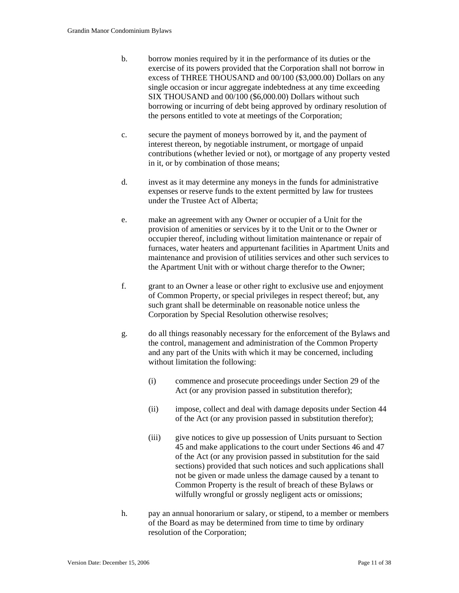- b. borrow monies required by it in the performance of its duties or the exercise of its powers provided that the Corporation shall not borrow in excess of THREE THOUSAND and 00/100 (\$3,000.00) Dollars on any single occasion or incur aggregate indebtedness at any time exceeding SIX THOUSAND and 00/100 (\$6,000.00) Dollars without such borrowing or incurring of debt being approved by ordinary resolution of the persons entitled to vote at meetings of the Corporation;
- c. secure the payment of moneys borrowed by it, and the payment of interest thereon, by negotiable instrument, or mortgage of unpaid contributions (whether levied or not), or mortgage of any property vested in it, or by combination of those means;
- d. invest as it may determine any moneys in the funds for administrative expenses or reserve funds to the extent permitted by law for trustees under the Trustee Act of Alberta;
- e. make an agreement with any Owner or occupier of a Unit for the provision of amenities or services by it to the Unit or to the Owner or occupier thereof, including without limitation maintenance or repair of furnaces, water heaters and appurtenant facilities in Apartment Units and maintenance and provision of utilities services and other such services to the Apartment Unit with or without charge therefor to the Owner;
- f. grant to an Owner a lease or other right to exclusive use and enjoyment of Common Property, or special privileges in respect thereof; but, any such grant shall be determinable on reasonable notice unless the Corporation by Special Resolution otherwise resolves;
- g. do all things reasonably necessary for the enforcement of the Bylaws and the control, management and administration of the Common Property and any part of the Units with which it may be concerned, including without limitation the following:
	- (i) commence and prosecute proceedings under Section 29 of the Act (or any provision passed in substitution therefor);
	- (ii) impose, collect and deal with damage deposits under Section 44 of the Act (or any provision passed in substitution therefor);
	- (iii) give notices to give up possession of Units pursuant to Section 45 and make applications to the court under Sections 46 and 47 of the Act (or any provision passed in substitution for the said sections) provided that such notices and such applications shall not be given or made unless the damage caused by a tenant to Common Property is the result of breach of these Bylaws or wilfully wrongful or grossly negligent acts or omissions;
- h. pay an annual honorarium or salary, or stipend, to a member or members of the Board as may be determined from time to time by ordinary resolution of the Corporation;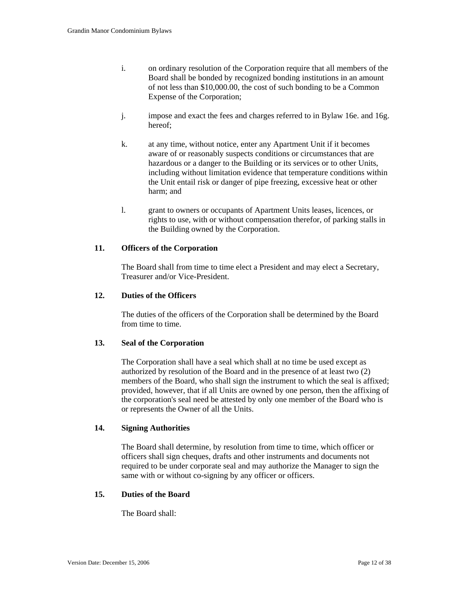- i. on ordinary resolution of the Corporation require that all members of the Board shall be bonded by recognized bonding institutions in an amount of not less than \$10,000.00, the cost of such bonding to be a Common Expense of the Corporation;
- j. impose and exact the fees and charges referred to in Bylaw 16e. and 16g. hereof;
- k. at any time, without notice, enter any Apartment Unit if it becomes aware of or reasonably suspects conditions or circumstances that are hazardous or a danger to the Building or its services or to other Units, including without limitation evidence that temperature conditions within the Unit entail risk or danger of pipe freezing, excessive heat or other harm; and
- l. grant to owners or occupants of Apartment Units leases, licences, or rights to use, with or without compensation therefor, of parking stalls in the Building owned by the Corporation.

## **11. Officers of the Corporation**

The Board shall from time to time elect a President and may elect a Secretary, Treasurer and/or Vice-President.

### **12. Duties of the Officers**

The duties of the officers of the Corporation shall be determined by the Board from time to time.

### **13. Seal of the Corporation**

The Corporation shall have a seal which shall at no time be used except as authorized by resolution of the Board and in the presence of at least two (2) members of the Board, who shall sign the instrument to which the seal is affixed; provided, however, that if all Units are owned by one person, then the affixing of the corporation's seal need be attested by only one member of the Board who is or represents the Owner of all the Units.

### **14. Signing Authorities**

The Board shall determine, by resolution from time to time, which officer or officers shall sign cheques, drafts and other instruments and documents not required to be under corporate seal and may authorize the Manager to sign the same with or without co-signing by any officer or officers.

### **15. Duties of the Board**

The Board shall: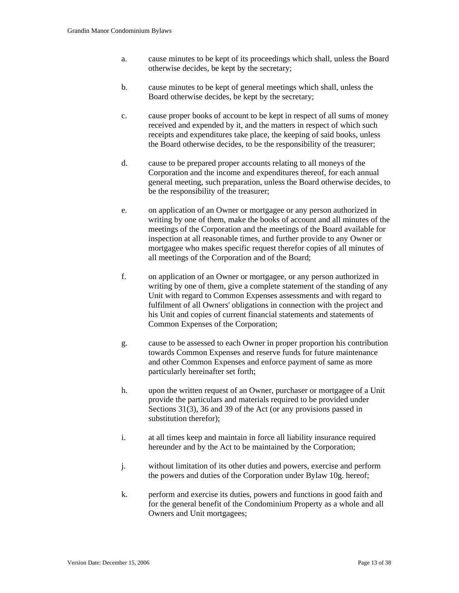- a. cause minutes to be kept of its proceedings which shall, unless the Board otherwise decides, be kept by the secretary;
- b. cause minutes to be kept of general meetings which shall, unless the Board otherwise decides, be kept by the secretary;
- c. cause proper books of account to be kept in respect of all sums of money received and expended by it, and the matters in respect of which such receipts and expenditures take place, the keeping of said books, unless the Board otherwise decides, to be the responsibility of the treasurer;
- d. cause to be prepared proper accounts relating to all moneys of the Corporation and the income and expenditures thereof, for each annual general meeting, such preparation, unless the Board otherwise decides, to be the responsibility of the treasurer;
- e. on application of an Owner or mortgagee or any person authorized in writing by one of them, make the books of account and all minutes of the meetings of the Corporation and the meetings of the Board available for inspection at all reasonable times, and further provide to any Owner or mortgagee who makes specific request therefor copies of all minutes of all meetings of the Corporation and of the Board;
- f. on application of an Owner or mortgagee, or any person authorized in writing by one of them, give a complete statement of the standing of any Unit with regard to Common Expenses assessments and with regard to fulfilment of all Owners' obligations in connection with the project and his Unit and copies of current financial statements and statements of Common Expenses of the Corporation;
- g. cause to be assessed to each Owner in proper proportion his contribution towards Common Expenses and reserve funds for future maintenance and other Common Expenses and enforce payment of same as more particularly hereinafter set forth;
- h. upon the written request of an Owner, purchaser or mortgagee of a Unit provide the particulars and materials required to be provided under Sections 31(3), 36 and 39 of the Act (or any provisions passed in substitution therefor);
- i. at all times keep and maintain in force all liability insurance required hereunder and by the Act to be maintained by the Corporation;
- j. without limitation of its other duties and powers, exercise and perform the powers and duties of the Corporation under Bylaw 10g. hereof;
- k. perform and exercise its duties, powers and functions in good faith and for the general benefit of the Condominium Property as a whole and all Owners and Unit mortgagees;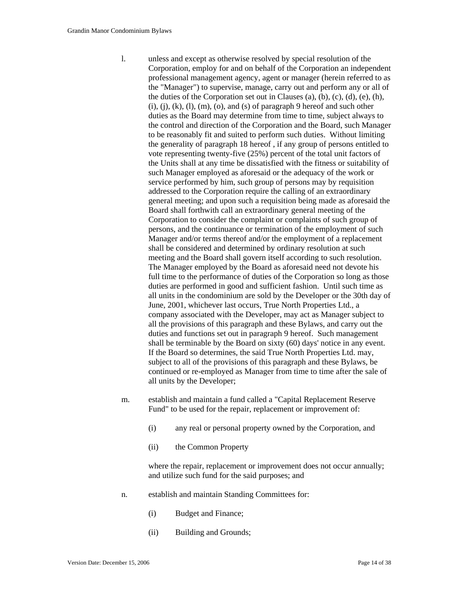- l. unless and except as otherwise resolved by special resolution of the Corporation, employ for and on behalf of the Corporation an independent professional management agency, agent or manager (herein referred to as the "Manager") to supervise, manage, carry out and perform any or all of the duties of the Corporation set out in Clauses (a), (b), (c), (d), (e), (h),  $(i)$ ,  $(i)$ ,  $(k)$ ,  $(l)$ ,  $(m)$ ,  $(o)$ , and  $(s)$  of paragraph 9 hereof and such other duties as the Board may determine from time to time, subject always to the control and direction of the Corporation and the Board, such Manager to be reasonably fit and suited to perform such duties. Without limiting the generality of paragraph 18 hereof , if any group of persons entitled to vote representing twenty-five (25%) percent of the total unit factors of the Units shall at any time be dissatisfied with the fitness or suitability of such Manager employed as aforesaid or the adequacy of the work or service performed by him, such group of persons may by requisition addressed to the Corporation require the calling of an extraordinary general meeting; and upon such a requisition being made as aforesaid the Board shall forthwith call an extraordinary general meeting of the Corporation to consider the complaint or complaints of such group of persons, and the continuance or termination of the employment of such Manager and/or terms thereof and/or the employment of a replacement shall be considered and determined by ordinary resolution at such meeting and the Board shall govern itself according to such resolution. The Manager employed by the Board as aforesaid need not devote his full time to the performance of duties of the Corporation so long as those duties are performed in good and sufficient fashion. Until such time as all units in the condominium are sold by the Developer or the 30th day of June, 2001, whichever last occurs, True North Properties Ltd., a company associated with the Developer, may act as Manager subject to all the provisions of this paragraph and these Bylaws, and carry out the duties and functions set out in paragraph 9 hereof. Such management shall be terminable by the Board on sixty (60) days' notice in any event. If the Board so determines, the said True North Properties Ltd. may, subject to all of the provisions of this paragraph and these Bylaws, be continued or re-employed as Manager from time to time after the sale of all units by the Developer;
- m. establish and maintain a fund called a "Capital Replacement Reserve Fund" to be used for the repair, replacement or improvement of:
	- (i) any real or personal property owned by the Corporation, and
	- (ii) the Common Property

where the repair, replacement or improvement does not occur annually; and utilize such fund for the said purposes; and

- n. establish and maintain Standing Committees for:
	- (i) Budget and Finance;
	- (ii) Building and Grounds;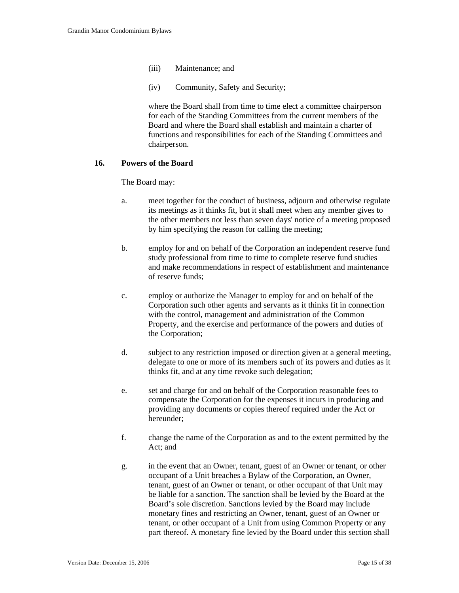- (iii) Maintenance; and
- (iv) Community, Safety and Security;

where the Board shall from time to time elect a committee chairperson for each of the Standing Committees from the current members of the Board and where the Board shall establish and maintain a charter of functions and responsibilities for each of the Standing Committees and chairperson.

## **16. Powers of the Board**

The Board may:

- a. meet together for the conduct of business, adjourn and otherwise regulate its meetings as it thinks fit, but it shall meet when any member gives to the other members not less than seven days' notice of a meeting proposed by him specifying the reason for calling the meeting;
- b. employ for and on behalf of the Corporation an independent reserve fund study professional from time to time to complete reserve fund studies and make recommendations in respect of establishment and maintenance of reserve funds;
- c. employ or authorize the Manager to employ for and on behalf of the Corporation such other agents and servants as it thinks fit in connection with the control, management and administration of the Common Property, and the exercise and performance of the powers and duties of the Corporation;
- d. subject to any restriction imposed or direction given at a general meeting, delegate to one or more of its members such of its powers and duties as it thinks fit, and at any time revoke such delegation;
- e. set and charge for and on behalf of the Corporation reasonable fees to compensate the Corporation for the expenses it incurs in producing and providing any documents or copies thereof required under the Act or hereunder;
- f. change the name of the Corporation as and to the extent permitted by the Act; and
- g. in the event that an Owner, tenant, guest of an Owner or tenant, or other occupant of a Unit breaches a Bylaw of the Corporation, an Owner, tenant, guest of an Owner or tenant, or other occupant of that Unit may be liable for a sanction. The sanction shall be levied by the Board at the Board's sole discretion. Sanctions levied by the Board may include monetary fines and restricting an Owner, tenant, guest of an Owner or tenant, or other occupant of a Unit from using Common Property or any part thereof. A monetary fine levied by the Board under this section shall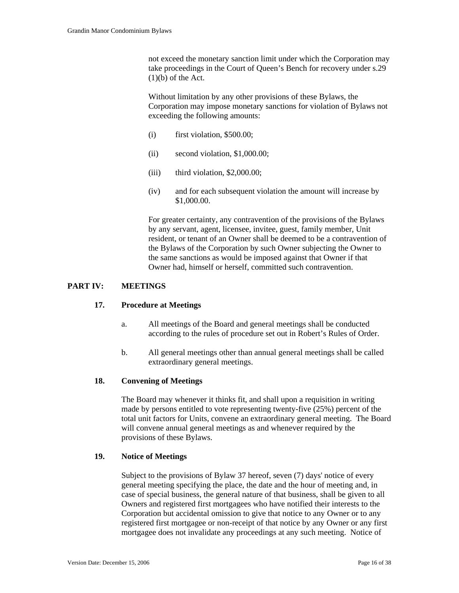not exceed the monetary sanction limit under which the Corporation may take proceedings in the Court of Queen's Bench for recovery under s.29  $(1)(b)$  of the Act.

Without limitation by any other provisions of these Bylaws, the Corporation may impose monetary sanctions for violation of Bylaws not exceeding the following amounts:

- $(i)$  first violation, \$500.00;
- (ii) second violation, \$1,000.00;
- $(iii)$  third violation, \$2,000.00;
- (iv) and for each subsequent violation the amount will increase by \$1,000.00.

For greater certainty, any contravention of the provisions of the Bylaws by any servant, agent, licensee, invitee, guest, family member, Unit resident, or tenant of an Owner shall be deemed to be a contravention of the Bylaws of the Corporation by such Owner subjecting the Owner to the same sanctions as would be imposed against that Owner if that Owner had, himself or herself, committed such contravention.

## **PART IV: MEETINGS**

## **17. Procedure at Meetings**

- a. All meetings of the Board and general meetings shall be conducted according to the rules of procedure set out in Robert's Rules of Order.
- b. All general meetings other than annual general meetings shall be called extraordinary general meetings.

## **18. Convening of Meetings**

The Board may whenever it thinks fit, and shall upon a requisition in writing made by persons entitled to vote representing twenty-five (25%) percent of the total unit factors for Units, convene an extraordinary general meeting. The Board will convene annual general meetings as and whenever required by the provisions of these Bylaws.

## **19. Notice of Meetings**

Subject to the provisions of Bylaw 37 hereof, seven (7) days' notice of every general meeting specifying the place, the date and the hour of meeting and, in case of special business, the general nature of that business, shall be given to all Owners and registered first mortgagees who have notified their interests to the Corporation but accidental omission to give that notice to any Owner or to any registered first mortgagee or non-receipt of that notice by any Owner or any first mortgagee does not invalidate any proceedings at any such meeting. Notice of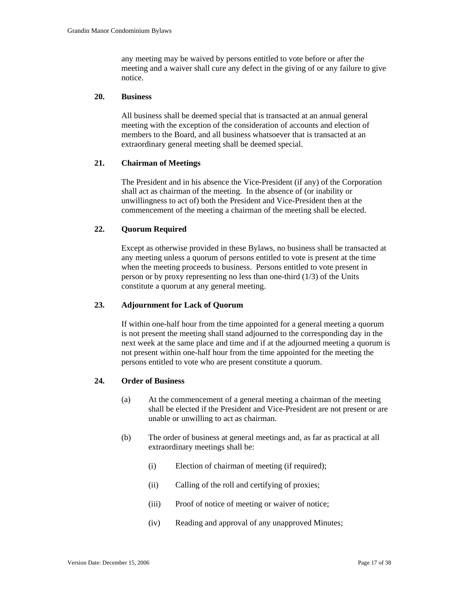any meeting may be waived by persons entitled to vote before or after the meeting and a waiver shall cure any defect in the giving of or any failure to give notice.

### **20. Business**

All business shall be deemed special that is transacted at an annual general meeting with the exception of the consideration of accounts and election of members to the Board, and all business whatsoever that is transacted at an extraordinary general meeting shall be deemed special.

### **21. Chairman of Meetings**

The President and in his absence the Vice-President (if any) of the Corporation shall act as chairman of the meeting. In the absence of (or inability or unwillingness to act of) both the President and Vice-President then at the commencement of the meeting a chairman of the meeting shall be elected.

### **22. Quorum Required**

Except as otherwise provided in these Bylaws, no business shall be transacted at any meeting unless a quorum of persons entitled to vote is present at the time when the meeting proceeds to business. Persons entitled to vote present in person or by proxy representing no less than one-third (1/3) of the Units constitute a quorum at any general meeting.

### **23. Adjournment for Lack of Quorum**

If within one-half hour from the time appointed for a general meeting a quorum is not present the meeting shall stand adjourned to the corresponding day in the next week at the same place and time and if at the adjourned meeting a quorum is not present within one-half hour from the time appointed for the meeting the persons entitled to vote who are present constitute a quorum.

### **24. Order of Business**

- (a) At the commencement of a general meeting a chairman of the meeting shall be elected if the President and Vice-President are not present or are unable or unwilling to act as chairman.
- (b) The order of business at general meetings and, as far as practical at all extraordinary meetings shall be:
	- (i) Election of chairman of meeting (if required);
	- (ii) Calling of the roll and certifying of proxies;
	- (iii) Proof of notice of meeting or waiver of notice;
	- (iv) Reading and approval of any unapproved Minutes;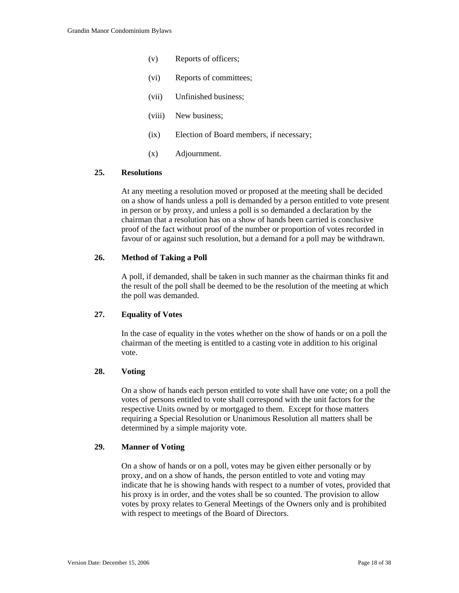- (v) Reports of officers;
- (vi) Reports of committees;
- (vii) Unfinished business;
- (viii) New business;
- (ix) Election of Board members, if necessary;
- (x) Adjournment.

## **25. Resolutions**

At any meeting a resolution moved or proposed at the meeting shall be decided on a show of hands unless a poll is demanded by a person entitled to vote present in person or by proxy, and unless a poll is so demanded a declaration by the chairman that a resolution has on a show of hands been carried is conclusive proof of the fact without proof of the number or proportion of votes recorded in favour of or against such resolution, but a demand for a poll may be withdrawn.

## **26. Method of Taking a Poll**

A poll, if demanded, shall be taken in such manner as the chairman thinks fit and the result of the poll shall be deemed to be the resolution of the meeting at which the poll was demanded.

## **27. Equality of Votes**

In the case of equality in the votes whether on the show of hands or on a poll the chairman of the meeting is entitled to a casting vote in addition to his original vote.

### **28. Voting**

On a show of hands each person entitled to vote shall have one vote; on a poll the votes of persons entitled to vote shall correspond with the unit factors for the respective Units owned by or mortgaged to them. Except for those matters requiring a Special Resolution or Unanimous Resolution all matters shall be determined by a simple majority vote.

#### **29. Manner of Voting**

On a show of hands or on a poll, votes may be given either personally or by proxy, and on a show of hands, the person entitled to vote and voting may indicate that he is showing hands with respect to a number of votes, provided that his proxy is in order, and the votes shall be so counted. The provision to allow votes by proxy relates to General Meetings of the Owners only and is prohibited with respect to meetings of the Board of Directors.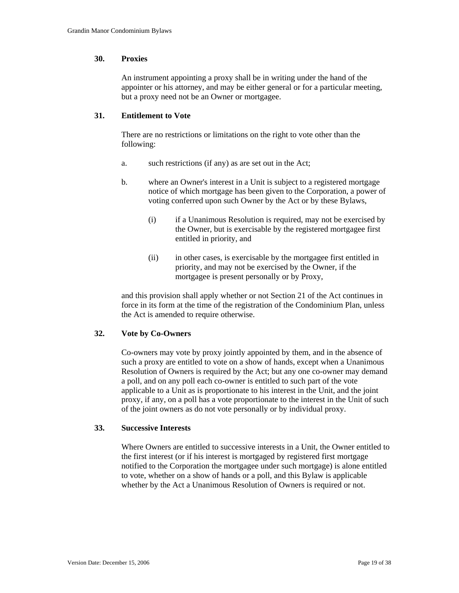### **30. Proxies**

An instrument appointing a proxy shall be in writing under the hand of the appointer or his attorney, and may be either general or for a particular meeting, but a proxy need not be an Owner or mortgagee.

# **31. Entitlement to Vote**

There are no restrictions or limitations on the right to vote other than the following:

- a. such restrictions (if any) as are set out in the Act;
- b. where an Owner's interest in a Unit is subject to a registered mortgage notice of which mortgage has been given to the Corporation, a power of voting conferred upon such Owner by the Act or by these Bylaws,
	- (i) if a Unanimous Resolution is required, may not be exercised by the Owner, but is exercisable by the registered mortgagee first entitled in priority, and
	- (ii) in other cases, is exercisable by the mortgagee first entitled in priority, and may not be exercised by the Owner, if the mortgagee is present personally or by Proxy,

 and this provision shall apply whether or not Section 21 of the Act continues in force in its form at the time of the registration of the Condominium Plan, unless the Act is amended to require otherwise.

## **32. Vote by Co-Owners**

Co-owners may vote by proxy jointly appointed by them, and in the absence of such a proxy are entitled to vote on a show of hands, except when a Unanimous Resolution of Owners is required by the Act; but any one co-owner may demand a poll, and on any poll each co-owner is entitled to such part of the vote applicable to a Unit as is proportionate to his interest in the Unit, and the joint proxy, if any, on a poll has a vote proportionate to the interest in the Unit of such of the joint owners as do not vote personally or by individual proxy.

## **33. Successive Interests**

Where Owners are entitled to successive interests in a Unit, the Owner entitled to the first interest (or if his interest is mortgaged by registered first mortgage notified to the Corporation the mortgagee under such mortgage) is alone entitled to vote, whether on a show of hands or a poll, and this Bylaw is applicable whether by the Act a Unanimous Resolution of Owners is required or not.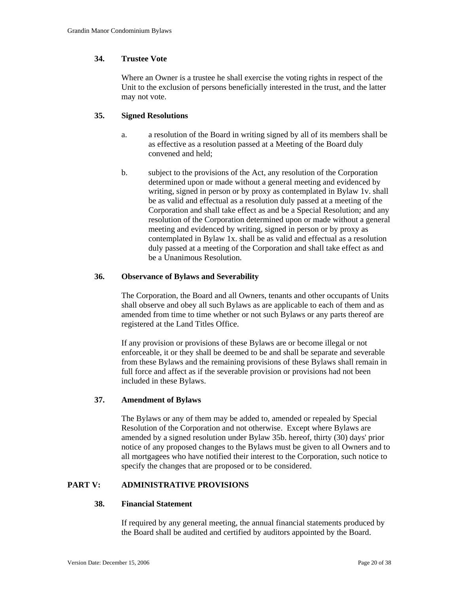### **34. Trustee Vote**

Where an Owner is a trustee he shall exercise the voting rights in respect of the Unit to the exclusion of persons beneficially interested in the trust, and the latter may not vote.

## **35. Signed Resolutions**

- a. a resolution of the Board in writing signed by all of its members shall be as effective as a resolution passed at a Meeting of the Board duly convened and held;
- b. subject to the provisions of the Act, any resolution of the Corporation determined upon or made without a general meeting and evidenced by writing, signed in person or by proxy as contemplated in Bylaw 1v. shall be as valid and effectual as a resolution duly passed at a meeting of the Corporation and shall take effect as and be a Special Resolution; and any resolution of the Corporation determined upon or made without a general meeting and evidenced by writing, signed in person or by proxy as contemplated in Bylaw 1x. shall be as valid and effectual as a resolution duly passed at a meeting of the Corporation and shall take effect as and be a Unanimous Resolution.

### **36. Observance of Bylaws and Severability**

The Corporation, the Board and all Owners, tenants and other occupants of Units shall observe and obey all such Bylaws as are applicable to each of them and as amended from time to time whether or not such Bylaws or any parts thereof are registered at the Land Titles Office.

If any provision or provisions of these Bylaws are or become illegal or not enforceable, it or they shall be deemed to be and shall be separate and severable from these Bylaws and the remaining provisions of these Bylaws shall remain in full force and affect as if the severable provision or provisions had not been included in these Bylaws.

## **37. Amendment of Bylaws**

The Bylaws or any of them may be added to, amended or repealed by Special Resolution of the Corporation and not otherwise. Except where Bylaws are amended by a signed resolution under Bylaw 35b. hereof, thirty (30) days' prior notice of any proposed changes to the Bylaws must be given to all Owners and to all mortgagees who have notified their interest to the Corporation, such notice to specify the changes that are proposed or to be considered.

## **PART V: ADMINISTRATIVE PROVISIONS**

#### **38. Financial Statement**

If required by any general meeting, the annual financial statements produced by the Board shall be audited and certified by auditors appointed by the Board.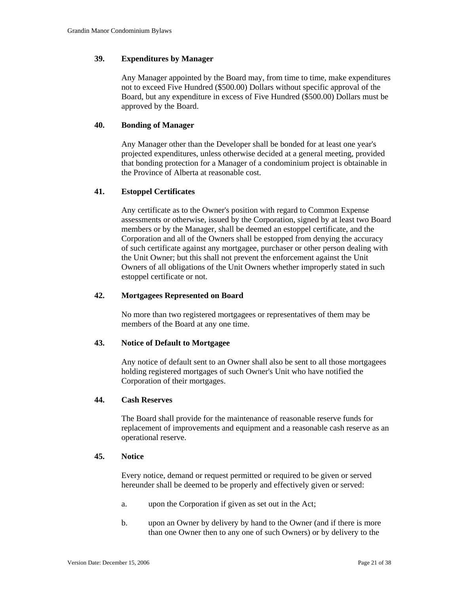### **39. Expenditures by Manager**

Any Manager appointed by the Board may, from time to time, make expenditures not to exceed Five Hundred (\$500.00) Dollars without specific approval of the Board, but any expenditure in excess of Five Hundred (\$500.00) Dollars must be approved by the Board.

### **40. Bonding of Manager**

Any Manager other than the Developer shall be bonded for at least one year's projected expenditures, unless otherwise decided at a general meeting, provided that bonding protection for a Manager of a condominium project is obtainable in the Province of Alberta at reasonable cost.

#### **41. Estoppel Certificates**

Any certificate as to the Owner's position with regard to Common Expense assessments or otherwise, issued by the Corporation, signed by at least two Board members or by the Manager, shall be deemed an estoppel certificate, and the Corporation and all of the Owners shall be estopped from denying the accuracy of such certificate against any mortgagee, purchaser or other person dealing with the Unit Owner; but this shall not prevent the enforcement against the Unit Owners of all obligations of the Unit Owners whether improperly stated in such estoppel certificate or not.

#### **42. Mortgagees Represented on Board**

No more than two registered mortgagees or representatives of them may be members of the Board at any one time.

#### **43. Notice of Default to Mortgagee**

Any notice of default sent to an Owner shall also be sent to all those mortgagees holding registered mortgages of such Owner's Unit who have notified the Corporation of their mortgages.

### **44. Cash Reserves**

The Board shall provide for the maintenance of reasonable reserve funds for replacement of improvements and equipment and a reasonable cash reserve as an operational reserve.

#### **45. Notice**

Every notice, demand or request permitted or required to be given or served hereunder shall be deemed to be properly and effectively given or served:

- a. upon the Corporation if given as set out in the Act;
- b. upon an Owner by delivery by hand to the Owner (and if there is more than one Owner then to any one of such Owners) or by delivery to the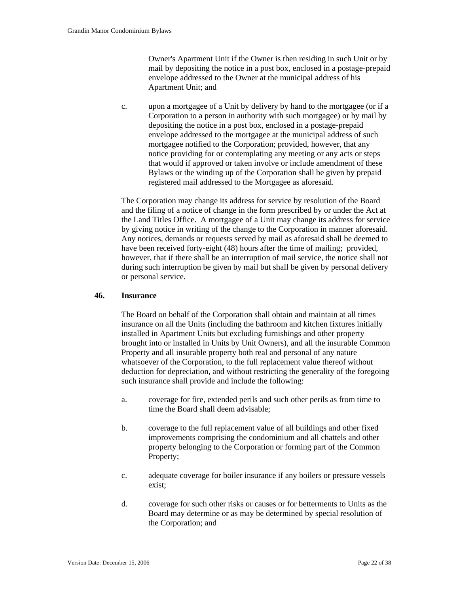Owner's Apartment Unit if the Owner is then residing in such Unit or by mail by depositing the notice in a post box, enclosed in a postage-prepaid envelope addressed to the Owner at the municipal address of his Apartment Unit; and

 c. upon a mortgagee of a Unit by delivery by hand to the mortgagee (or if a Corporation to a person in authority with such mortgagee) or by mail by depositing the notice in a post box, enclosed in a postage-prepaid envelope addressed to the mortgagee at the municipal address of such mortgagee notified to the Corporation; provided, however, that any notice providing for or contemplating any meeting or any acts or steps that would if approved or taken involve or include amendment of these Bylaws or the winding up of the Corporation shall be given by prepaid registered mail addressed to the Mortgagee as aforesaid.

The Corporation may change its address for service by resolution of the Board and the filing of a notice of change in the form prescribed by or under the Act at the Land Titles Office. A mortgagee of a Unit may change its address for service by giving notice in writing of the change to the Corporation in manner aforesaid. Any notices, demands or requests served by mail as aforesaid shall be deemed to have been received forty-eight (48) hours after the time of mailing; provided, however, that if there shall be an interruption of mail service, the notice shall not during such interruption be given by mail but shall be given by personal delivery or personal service.

## **46. Insurance**

The Board on behalf of the Corporation shall obtain and maintain at all times insurance on all the Units (including the bathroom and kitchen fixtures initially installed in Apartment Units but excluding furnishings and other property brought into or installed in Units by Unit Owners), and all the insurable Common Property and all insurable property both real and personal of any nature whatsoever of the Corporation, to the full replacement value thereof without deduction for depreciation, and without restricting the generality of the foregoing such insurance shall provide and include the following:

- a. coverage for fire, extended perils and such other perils as from time to time the Board shall deem advisable;
- b. coverage to the full replacement value of all buildings and other fixed improvements comprising the condominium and all chattels and other property belonging to the Corporation or forming part of the Common Property;
- c. adequate coverage for boiler insurance if any boilers or pressure vessels exist;
- d. coverage for such other risks or causes or for betterments to Units as the Board may determine or as may be determined by special resolution of the Corporation; and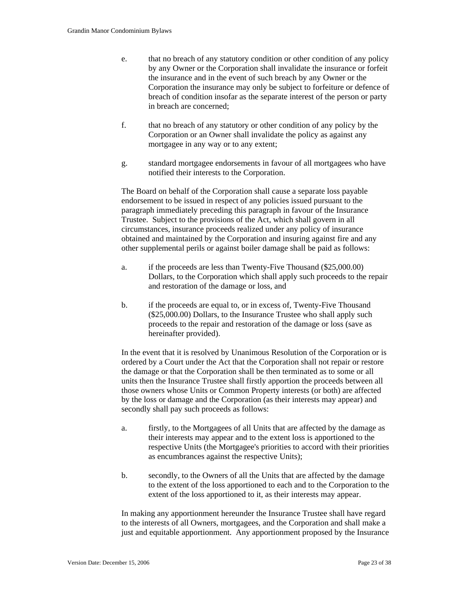- e. that no breach of any statutory condition or other condition of any policy by any Owner or the Corporation shall invalidate the insurance or forfeit the insurance and in the event of such breach by any Owner or the Corporation the insurance may only be subject to forfeiture or defence of breach of condition insofar as the separate interest of the person or party in breach are concerned;
- f. that no breach of any statutory or other condition of any policy by the Corporation or an Owner shall invalidate the policy as against any mortgagee in any way or to any extent;
- g. standard mortgagee endorsements in favour of all mortgagees who have notified their interests to the Corporation.

The Board on behalf of the Corporation shall cause a separate loss payable endorsement to be issued in respect of any policies issued pursuant to the paragraph immediately preceding this paragraph in favour of the Insurance Trustee. Subject to the provisions of the Act, which shall govern in all circumstances, insurance proceeds realized under any policy of insurance obtained and maintained by the Corporation and insuring against fire and any other supplemental perils or against boiler damage shall be paid as follows:

- a. if the proceeds are less than Twenty-Five Thousand (\$25,000.00) Dollars, to the Corporation which shall apply such proceeds to the repair and restoration of the damage or loss, and
- b. if the proceeds are equal to, or in excess of, Twenty-Five Thousand (\$25,000.00) Dollars, to the Insurance Trustee who shall apply such proceeds to the repair and restoration of the damage or loss (save as hereinafter provided).

In the event that it is resolved by Unanimous Resolution of the Corporation or is ordered by a Court under the Act that the Corporation shall not repair or restore the damage or that the Corporation shall be then terminated as to some or all units then the Insurance Trustee shall firstly apportion the proceeds between all those owners whose Units or Common Property interests (or both) are affected by the loss or damage and the Corporation (as their interests may appear) and secondly shall pay such proceeds as follows:

- a. firstly, to the Mortgagees of all Units that are affected by the damage as their interests may appear and to the extent loss is apportioned to the respective Units (the Mortgagee's priorities to accord with their priorities as encumbrances against the respective Units);
- b. secondly, to the Owners of all the Units that are affected by the damage to the extent of the loss apportioned to each and to the Corporation to the extent of the loss apportioned to it, as their interests may appear.

In making any apportionment hereunder the Insurance Trustee shall have regard to the interests of all Owners, mortgagees, and the Corporation and shall make a just and equitable apportionment. Any apportionment proposed by the Insurance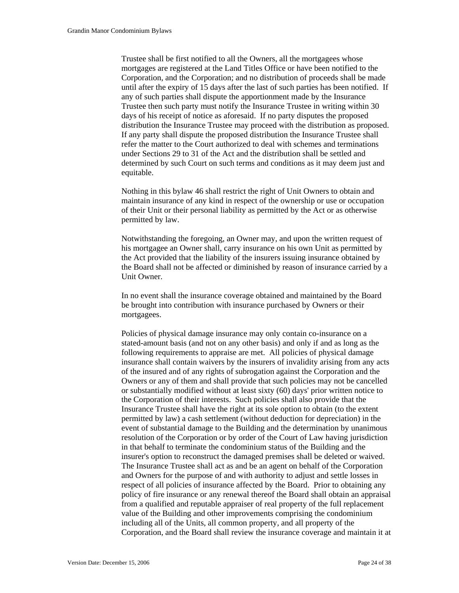Trustee shall be first notified to all the Owners, all the mortgagees whose mortgages are registered at the Land Titles Office or have been notified to the Corporation, and the Corporation; and no distribution of proceeds shall be made until after the expiry of 15 days after the last of such parties has been notified. If any of such parties shall dispute the apportionment made by the Insurance Trustee then such party must notify the Insurance Trustee in writing within 30 days of his receipt of notice as aforesaid. If no party disputes the proposed distribution the Insurance Trustee may proceed with the distribution as proposed. If any party shall dispute the proposed distribution the Insurance Trustee shall refer the matter to the Court authorized to deal with schemes and terminations under Sections 29 to 31 of the Act and the distribution shall be settled and determined by such Court on such terms and conditions as it may deem just and equitable.

Nothing in this bylaw 46 shall restrict the right of Unit Owners to obtain and maintain insurance of any kind in respect of the ownership or use or occupation of their Unit or their personal liability as permitted by the Act or as otherwise permitted by law.

Notwithstanding the foregoing, an Owner may, and upon the written request of his mortgagee an Owner shall, carry insurance on his own Unit as permitted by the Act provided that the liability of the insurers issuing insurance obtained by the Board shall not be affected or diminished by reason of insurance carried by a Unit Owner.

In no event shall the insurance coverage obtained and maintained by the Board be brought into contribution with insurance purchased by Owners or their mortgagees.

Policies of physical damage insurance may only contain co-insurance on a stated-amount basis (and not on any other basis) and only if and as long as the following requirements to appraise are met. All policies of physical damage insurance shall contain waivers by the insurers of invalidity arising from any acts of the insured and of any rights of subrogation against the Corporation and the Owners or any of them and shall provide that such policies may not be cancelled or substantially modified without at least sixty (60) days' prior written notice to the Corporation of their interests. Such policies shall also provide that the Insurance Trustee shall have the right at its sole option to obtain (to the extent permitted by law) a cash settlement (without deduction for depreciation) in the event of substantial damage to the Building and the determination by unanimous resolution of the Corporation or by order of the Court of Law having jurisdiction in that behalf to terminate the condominium status of the Building and the insurer's option to reconstruct the damaged premises shall be deleted or waived. The Insurance Trustee shall act as and be an agent on behalf of the Corporation and Owners for the purpose of and with authority to adjust and settle losses in respect of all policies of insurance affected by the Board. Prior to obtaining any policy of fire insurance or any renewal thereof the Board shall obtain an appraisal from a qualified and reputable appraiser of real property of the full replacement value of the Building and other improvements comprising the condominium including all of the Units, all common property, and all property of the Corporation, and the Board shall review the insurance coverage and maintain it at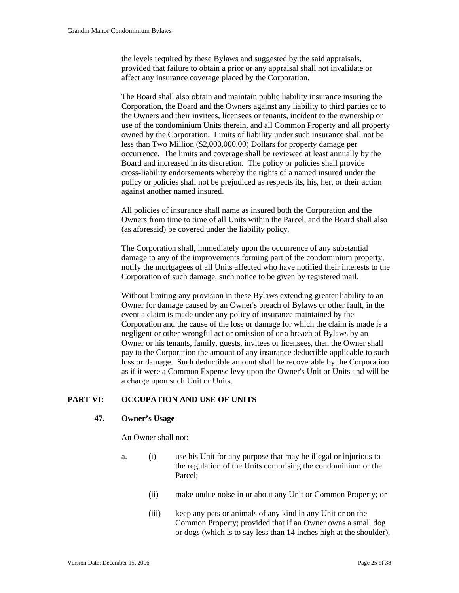the levels required by these Bylaws and suggested by the said appraisals, provided that failure to obtain a prior or any appraisal shall not invalidate or affect any insurance coverage placed by the Corporation.

The Board shall also obtain and maintain public liability insurance insuring the Corporation, the Board and the Owners against any liability to third parties or to the Owners and their invitees, licensees or tenants, incident to the ownership or use of the condominium Units therein, and all Common Property and all property owned by the Corporation. Limits of liability under such insurance shall not be less than Two Million (\$2,000,000.00) Dollars for property damage per occurrence. The limits and coverage shall be reviewed at least annually by the Board and increased in its discretion. The policy or policies shall provide cross-liability endorsements whereby the rights of a named insured under the policy or policies shall not be prejudiced as respects its, his, her, or their action against another named insured.

All policies of insurance shall name as insured both the Corporation and the Owners from time to time of all Units within the Parcel, and the Board shall also (as aforesaid) be covered under the liability policy.

The Corporation shall, immediately upon the occurrence of any substantial damage to any of the improvements forming part of the condominium property, notify the mortgagees of all Units affected who have notified their interests to the Corporation of such damage, such notice to be given by registered mail.

Without limiting any provision in these Bylaws extending greater liability to an Owner for damage caused by an Owner's breach of Bylaws or other fault, in the event a claim is made under any policy of insurance maintained by the Corporation and the cause of the loss or damage for which the claim is made is a negligent or other wrongful act or omission of or a breach of Bylaws by an Owner or his tenants, family, guests, invitees or licensees, then the Owner shall pay to the Corporation the amount of any insurance deductible applicable to such loss or damage. Such deductible amount shall be recoverable by the Corporation as if it were a Common Expense levy upon the Owner's Unit or Units and will be a charge upon such Unit or Units.

### **PART VI: OCCUPATION AND USE OF UNITS**

#### **47. Owner's Usage**

An Owner shall not:

- a. (i) use his Unit for any purpose that may be illegal or injurious to the regulation of the Units comprising the condominium or the Parcel;
	- (ii) make undue noise in or about any Unit or Common Property; or
	- (iii) keep any pets or animals of any kind in any Unit or on the Common Property; provided that if an Owner owns a small dog or dogs (which is to say less than 14 inches high at the shoulder),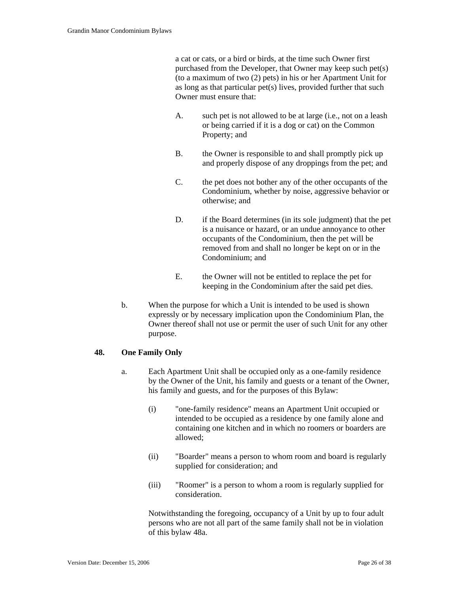a cat or cats, or a bird or birds, at the time such Owner first purchased from the Developer, that Owner may keep such pet(s) (to a maximum of two (2) pets) in his or her Apartment Unit for as long as that particular pet(s) lives, provided further that such Owner must ensure that:

- A. such pet is not allowed to be at large (i.e., not on a leash or being carried if it is a dog or cat) on the Common Property; and
- B. the Owner is responsible to and shall promptly pick up and properly dispose of any droppings from the pet; and
- C. the pet does not bother any of the other occupants of the Condominium, whether by noise, aggressive behavior or otherwise; and
- D. if the Board determines (in its sole judgment) that the pet is a nuisance or hazard, or an undue annoyance to other occupants of the Condominium, then the pet will be removed from and shall no longer be kept on or in the Condominium; and
- E. the Owner will not be entitled to replace the pet for keeping in the Condominium after the said pet dies.
- b. When the purpose for which a Unit is intended to be used is shown expressly or by necessary implication upon the Condominium Plan, the Owner thereof shall not use or permit the user of such Unit for any other purpose.

## **48. One Family Only**

- a. Each Apartment Unit shall be occupied only as a one-family residence by the Owner of the Unit, his family and guests or a tenant of the Owner, his family and guests, and for the purposes of this Bylaw:
	- (i) "one-family residence" means an Apartment Unit occupied or intended to be occupied as a residence by one family alone and containing one kitchen and in which no roomers or boarders are allowed;
	- (ii) "Boarder" means a person to whom room and board is regularly supplied for consideration; and
	- (iii) "Roomer" is a person to whom a room is regularly supplied for consideration.

 Notwithstanding the foregoing, occupancy of a Unit by up to four adult persons who are not all part of the same family shall not be in violation of this bylaw 48a.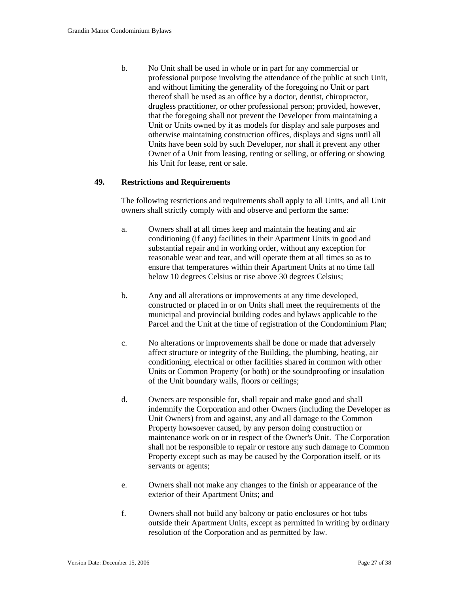b. No Unit shall be used in whole or in part for any commercial or professional purpose involving the attendance of the public at such Unit, and without limiting the generality of the foregoing no Unit or part thereof shall be used as an office by a doctor, dentist, chiropractor, drugless practitioner, or other professional person; provided, however, that the foregoing shall not prevent the Developer from maintaining a Unit or Units owned by it as models for display and sale purposes and otherwise maintaining construction offices, displays and signs until all Units have been sold by such Developer, nor shall it prevent any other Owner of a Unit from leasing, renting or selling, or offering or showing his Unit for lease, rent or sale.

### **49. Restrictions and Requirements**

The following restrictions and requirements shall apply to all Units, and all Unit owners shall strictly comply with and observe and perform the same:

- a. Owners shall at all times keep and maintain the heating and air conditioning (if any) facilities in their Apartment Units in good and substantial repair and in working order, without any exception for reasonable wear and tear, and will operate them at all times so as to ensure that temperatures within their Apartment Units at no time fall below 10 degrees Celsius or rise above 30 degrees Celsius;
- b. Any and all alterations or improvements at any time developed, constructed or placed in or on Units shall meet the requirements of the municipal and provincial building codes and bylaws applicable to the Parcel and the Unit at the time of registration of the Condominium Plan;
- c. No alterations or improvements shall be done or made that adversely affect structure or integrity of the Building, the plumbing, heating, air conditioning, electrical or other facilities shared in common with other Units or Common Property (or both) or the soundproofing or insulation of the Unit boundary walls, floors or ceilings;
- d. Owners are responsible for, shall repair and make good and shall indemnify the Corporation and other Owners (including the Developer as Unit Owners) from and against, any and all damage to the Common Property howsoever caused, by any person doing construction or maintenance work on or in respect of the Owner's Unit. The Corporation shall not be responsible to repair or restore any such damage to Common Property except such as may be caused by the Corporation itself, or its servants or agents;
- e. Owners shall not make any changes to the finish or appearance of the exterior of their Apartment Units; and
- f. Owners shall not build any balcony or patio enclosures or hot tubs outside their Apartment Units, except as permitted in writing by ordinary resolution of the Corporation and as permitted by law.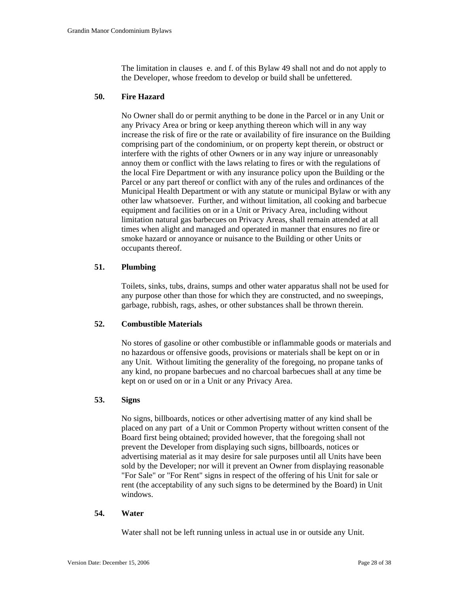The limitation in clauses e. and f. of this Bylaw 49 shall not and do not apply to the Developer, whose freedom to develop or build shall be unfettered.

### **50. Fire Hazard**

No Owner shall do or permit anything to be done in the Parcel or in any Unit or any Privacy Area or bring or keep anything thereon which will in any way increase the risk of fire or the rate or availability of fire insurance on the Building comprising part of the condominium, or on property kept therein, or obstruct or interfere with the rights of other Owners or in any way injure or unreasonably annoy them or conflict with the laws relating to fires or with the regulations of the local Fire Department or with any insurance policy upon the Building or the Parcel or any part thereof or conflict with any of the rules and ordinances of the Municipal Health Department or with any statute or municipal Bylaw or with any other law whatsoever. Further, and without limitation, all cooking and barbecue equipment and facilities on or in a Unit or Privacy Area, including without limitation natural gas barbecues on Privacy Areas, shall remain attended at all times when alight and managed and operated in manner that ensures no fire or smoke hazard or annoyance or nuisance to the Building or other Units or occupants thereof.

## **51. Plumbing**

Toilets, sinks, tubs, drains, sumps and other water apparatus shall not be used for any purpose other than those for which they are constructed, and no sweepings, garbage, rubbish, rags, ashes, or other substances shall be thrown therein.

## **52. Combustible Materials**

No stores of gasoline or other combustible or inflammable goods or materials and no hazardous or offensive goods, provisions or materials shall be kept on or in any Unit. Without limiting the generality of the foregoing, no propane tanks of any kind, no propane barbecues and no charcoal barbecues shall at any time be kept on or used on or in a Unit or any Privacy Area.

## **53. Signs**

No signs, billboards, notices or other advertising matter of any kind shall be placed on any part of a Unit or Common Property without written consent of the Board first being obtained; provided however, that the foregoing shall not prevent the Developer from displaying such signs, billboards, notices or advertising material as it may desire for sale purposes until all Units have been sold by the Developer; nor will it prevent an Owner from displaying reasonable "For Sale" or "For Rent" signs in respect of the offering of his Unit for sale or rent (the acceptability of any such signs to be determined by the Board) in Unit windows.

#### **54. Water**

Water shall not be left running unless in actual use in or outside any Unit.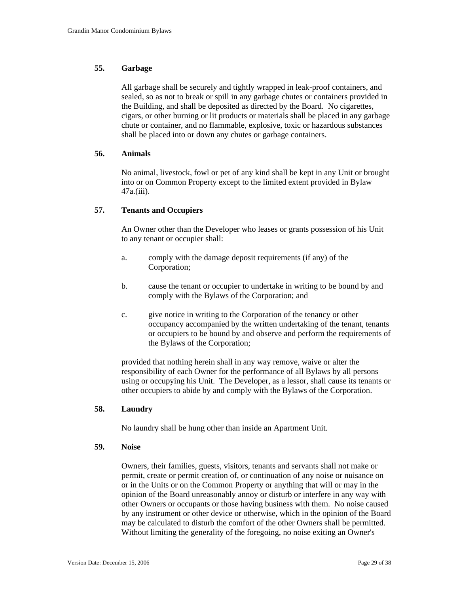# **55. Garbage**

All garbage shall be securely and tightly wrapped in leak-proof containers, and sealed, so as not to break or spill in any garbage chutes or containers provided in the Building, and shall be deposited as directed by the Board. No cigarettes, cigars, or other burning or lit products or materials shall be placed in any garbage chute or container, and no flammable, explosive, toxic or hazardous substances shall be placed into or down any chutes or garbage containers.

## **56. Animals**

No animal, livestock, fowl or pet of any kind shall be kept in any Unit or brought into or on Common Property except to the limited extent provided in Bylaw 47a.(iii).

### **57. Tenants and Occupiers**

An Owner other than the Developer who leases or grants possession of his Unit to any tenant or occupier shall:

- a. comply with the damage deposit requirements (if any) of the Corporation;
- b. cause the tenant or occupier to undertake in writing to be bound by and comply with the Bylaws of the Corporation; and
- c. give notice in writing to the Corporation of the tenancy or other occupancy accompanied by the written undertaking of the tenant, tenants or occupiers to be bound by and observe and perform the requirements of the Bylaws of the Corporation;

provided that nothing herein shall in any way remove, waive or alter the responsibility of each Owner for the performance of all Bylaws by all persons using or occupying his Unit. The Developer, as a lessor, shall cause its tenants or other occupiers to abide by and comply with the Bylaws of the Corporation.

#### **58. Laundry**

No laundry shall be hung other than inside an Apartment Unit.

#### **59. Noise**

Owners, their families, guests, visitors, tenants and servants shall not make or permit, create or permit creation of, or continuation of any noise or nuisance on or in the Units or on the Common Property or anything that will or may in the opinion of the Board unreasonably annoy or disturb or interfere in any way with other Owners or occupants or those having business with them. No noise caused by any instrument or other device or otherwise, which in the opinion of the Board may be calculated to disturb the comfort of the other Owners shall be permitted. Without limiting the generality of the foregoing, no noise exiting an Owner's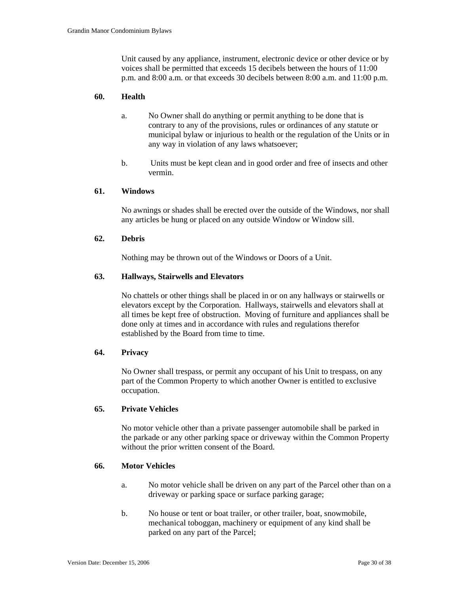Unit caused by any appliance, instrument, electronic device or other device or by voices shall be permitted that exceeds 15 decibels between the hours of 11:00 p.m. and 8:00 a.m. or that exceeds 30 decibels between 8:00 a.m. and 11:00 p.m.

### **60. Health**

- a. No Owner shall do anything or permit anything to be done that is contrary to any of the provisions, rules or ordinances of any statute or municipal bylaw or injurious to health or the regulation of the Units or in any way in violation of any laws whatsoever;
- b. Units must be kept clean and in good order and free of insects and other vermin.

#### **61. Windows**

No awnings or shades shall be erected over the outside of the Windows, nor shall any articles be hung or placed on any outside Window or Window sill.

### **62. Debris**

Nothing may be thrown out of the Windows or Doors of a Unit.

## **63. Hallways, Stairwells and Elevators**

No chattels or other things shall be placed in or on any hallways or stairwells or elevators except by the Corporation. Hallways, stairwells and elevators shall at all times be kept free of obstruction. Moving of furniture and appliances shall be done only at times and in accordance with rules and regulations therefor established by the Board from time to time.

#### **64. Privacy**

No Owner shall trespass, or permit any occupant of his Unit to trespass, on any part of the Common Property to which another Owner is entitled to exclusive occupation.

#### **65. Private Vehicles**

No motor vehicle other than a private passenger automobile shall be parked in the parkade or any other parking space or driveway within the Common Property without the prior written consent of the Board.

### **66. Motor Vehicles**

- a. No motor vehicle shall be driven on any part of the Parcel other than on a driveway or parking space or surface parking garage;
- b. No house or tent or boat trailer, or other trailer, boat, snowmobile, mechanical toboggan, machinery or equipment of any kind shall be parked on any part of the Parcel;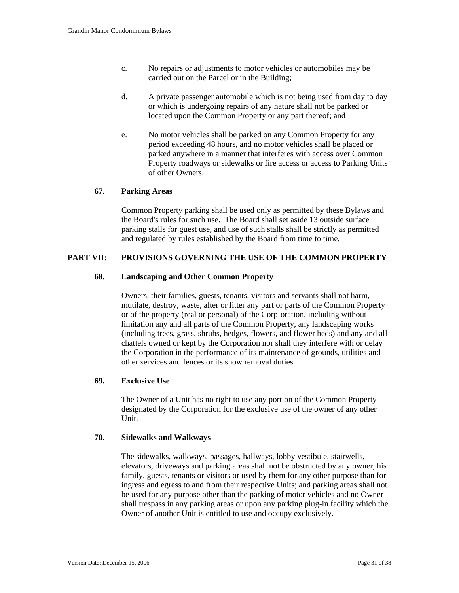- c. No repairs or adjustments to motor vehicles or automobiles may be carried out on the Parcel or in the Building;
- d. A private passenger automobile which is not being used from day to day or which is undergoing repairs of any nature shall not be parked or located upon the Common Property or any part thereof; and
- e. No motor vehicles shall be parked on any Common Property for any period exceeding 48 hours, and no motor vehicles shall be placed or parked anywhere in a manner that interferes with access over Common Property roadways or sidewalks or fire access or access to Parking Units of other Owners.

## **67. Parking Areas**

Common Property parking shall be used only as permitted by these Bylaws and the Board's rules for such use. The Board shall set aside 13 outside surface parking stalls for guest use, and use of such stalls shall be strictly as permitted and regulated by rules established by the Board from time to time.

## **PART VII: PROVISIONS GOVERNING THE USE OF THE COMMON PROPERTY**

### **68. Landscaping and Other Common Property**

Owners, their families, guests, tenants, visitors and servants shall not harm, mutilate, destroy, waste, alter or litter any part or parts of the Common Property or of the property (real or personal) of the Corp-oration, including without limitation any and all parts of the Common Property, any landscaping works (including trees, grass, shrubs, hedges, flowers, and flower beds) and any and all chattels owned or kept by the Corporation nor shall they interfere with or delay the Corporation in the performance of its maintenance of grounds, utilities and other services and fences or its snow removal duties.

### **69. Exclusive Use**

The Owner of a Unit has no right to use any portion of the Common Property designated by the Corporation for the exclusive use of the owner of any other Unit.

#### **70. Sidewalks and Walkways**

The sidewalks, walkways, passages, hallways, lobby vestibule, stairwells, elevators, driveways and parking areas shall not be obstructed by any owner, his family, guests, tenants or visitors or used by them for any other purpose than for ingress and egress to and from their respective Units; and parking areas shall not be used for any purpose other than the parking of motor vehicles and no Owner shall trespass in any parking areas or upon any parking plug-in facility which the Owner of another Unit is entitled to use and occupy exclusively.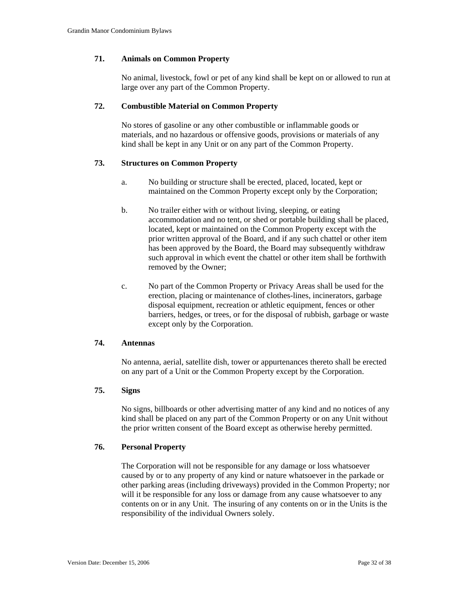### **71. Animals on Common Property**

No animal, livestock, fowl or pet of any kind shall be kept on or allowed to run at large over any part of the Common Property.

### **72. Combustible Material on Common Property**

No stores of gasoline or any other combustible or inflammable goods or materials, and no hazardous or offensive goods, provisions or materials of any kind shall be kept in any Unit or on any part of the Common Property.

### **73. Structures on Common Property**

- a. No building or structure shall be erected, placed, located, kept or maintained on the Common Property except only by the Corporation;
- b. No trailer either with or without living, sleeping, or eating accommodation and no tent, or shed or portable building shall be placed, located, kept or maintained on the Common Property except with the prior written approval of the Board, and if any such chattel or other item has been approved by the Board, the Board may subsequently withdraw such approval in which event the chattel or other item shall be forthwith removed by the Owner;
- c. No part of the Common Property or Privacy Areas shall be used for the erection, placing or maintenance of clothes-lines, incinerators, garbage disposal equipment, recreation or athletic equipment, fences or other barriers, hedges, or trees, or for the disposal of rubbish, garbage or waste except only by the Corporation.

### **74. Antennas**

No antenna, aerial, satellite dish, tower or appurtenances thereto shall be erected on any part of a Unit or the Common Property except by the Corporation.

#### **75. Signs**

No signs, billboards or other advertising matter of any kind and no notices of any kind shall be placed on any part of the Common Property or on any Unit without the prior written consent of the Board except as otherwise hereby permitted.

#### **76. Personal Property**

The Corporation will not be responsible for any damage or loss whatsoever caused by or to any property of any kind or nature whatsoever in the parkade or other parking areas (including driveways) provided in the Common Property; nor will it be responsible for any loss or damage from any cause whatsoever to any contents on or in any Unit. The insuring of any contents on or in the Units is the responsibility of the individual Owners solely.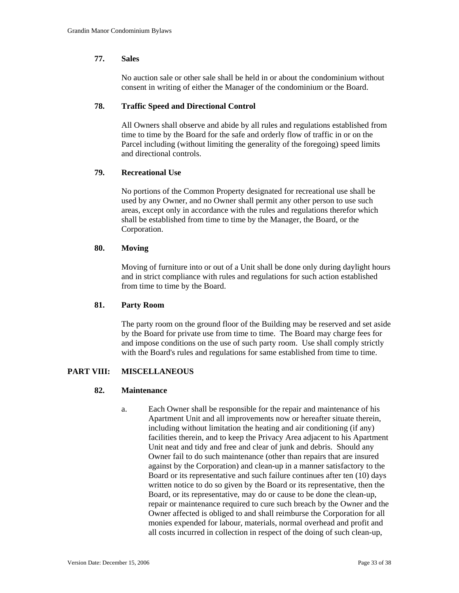# **77. Sales**

No auction sale or other sale shall be held in or about the condominium without consent in writing of either the Manager of the condominium or the Board.

### **78. Traffic Speed and Directional Control**

All Owners shall observe and abide by all rules and regulations established from time to time by the Board for the safe and orderly flow of traffic in or on the Parcel including (without limiting the generality of the foregoing) speed limits and directional controls.

### **79. Recreational Use**

No portions of the Common Property designated for recreational use shall be used by any Owner, and no Owner shall permit any other person to use such areas, except only in accordance with the rules and regulations therefor which shall be established from time to time by the Manager, the Board, or the Corporation.

### **80. Moving**

Moving of furniture into or out of a Unit shall be done only during daylight hours and in strict compliance with rules and regulations for such action established from time to time by the Board.

## **81. Party Room**

The party room on the ground floor of the Building may be reserved and set aside by the Board for private use from time to time. The Board may charge fees for and impose conditions on the use of such party room. Use shall comply strictly with the Board's rules and regulations for same established from time to time.

## **PART VIII: MISCELLANEOUS**

#### **82. Maintenance**

a. Each Owner shall be responsible for the repair and maintenance of his Apartment Unit and all improvements now or hereafter situate therein, including without limitation the heating and air conditioning (if any) facilities therein, and to keep the Privacy Area adjacent to his Apartment Unit neat and tidy and free and clear of junk and debris. Should any Owner fail to do such maintenance (other than repairs that are insured against by the Corporation) and clean-up in a manner satisfactory to the Board or its representative and such failure continues after ten (10) days written notice to do so given by the Board or its representative, then the Board, or its representative, may do or cause to be done the clean-up, repair or maintenance required to cure such breach by the Owner and the Owner affected is obliged to and shall reimburse the Corporation for all monies expended for labour, materials, normal overhead and profit and all costs incurred in collection in respect of the doing of such clean-up,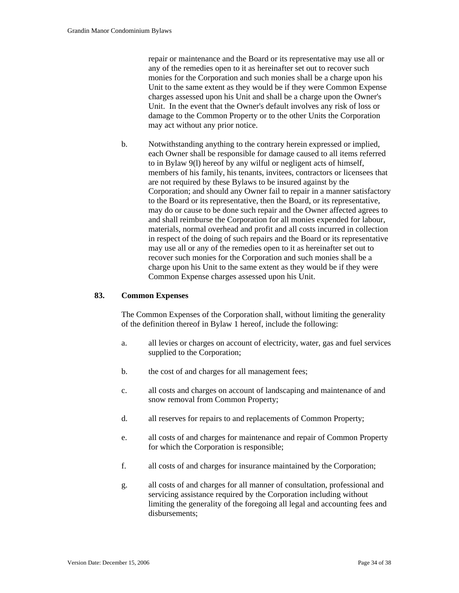repair or maintenance and the Board or its representative may use all or any of the remedies open to it as hereinafter set out to recover such monies for the Corporation and such monies shall be a charge upon his Unit to the same extent as they would be if they were Common Expense charges assessed upon his Unit and shall be a charge upon the Owner's Unit. In the event that the Owner's default involves any risk of loss or damage to the Common Property or to the other Units the Corporation may act without any prior notice.

 b. Notwithstanding anything to the contrary herein expressed or implied, each Owner shall be responsible for damage caused to all items referred to in Bylaw 9(l) hereof by any wilful or negligent acts of himself, members of his family, his tenants, invitees, contractors or licensees that are not required by these Bylaws to be insured against by the Corporation; and should any Owner fail to repair in a manner satisfactory to the Board or its representative, then the Board, or its representative, may do or cause to be done such repair and the Owner affected agrees to and shall reimburse the Corporation for all monies expended for labour, materials, normal overhead and profit and all costs incurred in collection in respect of the doing of such repairs and the Board or its representative may use all or any of the remedies open to it as hereinafter set out to recover such monies for the Corporation and such monies shall be a charge upon his Unit to the same extent as they would be if they were Common Expense charges assessed upon his Unit.

### **83. Common Expenses**

The Common Expenses of the Corporation shall, without limiting the generality of the definition thereof in Bylaw 1 hereof, include the following:

- a. all levies or charges on account of electricity, water, gas and fuel services supplied to the Corporation;
- b. the cost of and charges for all management fees;
- c. all costs and charges on account of landscaping and maintenance of and snow removal from Common Property;
- d. all reserves for repairs to and replacements of Common Property;
- e. all costs of and charges for maintenance and repair of Common Property for which the Corporation is responsible;
- f. all costs of and charges for insurance maintained by the Corporation;
- g. all costs of and charges for all manner of consultation, professional and servicing assistance required by the Corporation including without limiting the generality of the foregoing all legal and accounting fees and disbursements;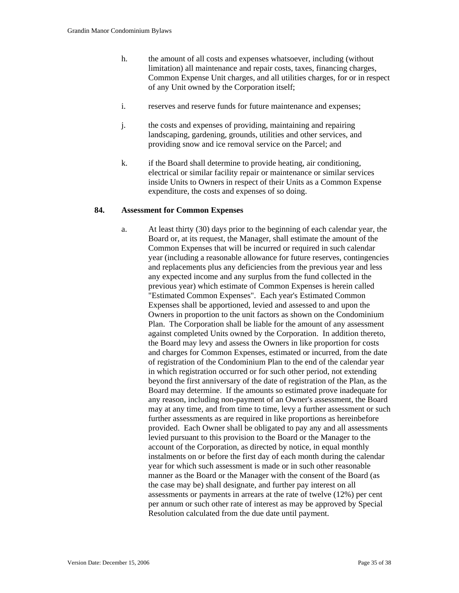- h. the amount of all costs and expenses whatsoever, including (without limitation) all maintenance and repair costs, taxes, financing charges, Common Expense Unit charges, and all utilities charges, for or in respect of any Unit owned by the Corporation itself;
- i. reserves and reserve funds for future maintenance and expenses;
- j. the costs and expenses of providing, maintaining and repairing landscaping, gardening, grounds, utilities and other services, and providing snow and ice removal service on the Parcel; and
- k. if the Board shall determine to provide heating, air conditioning, electrical or similar facility repair or maintenance or similar services inside Units to Owners in respect of their Units as a Common Expense expenditure, the costs and expenses of so doing.

### **84. Assessment for Common Expenses**

a. At least thirty (30) days prior to the beginning of each calendar year, the Board or, at its request, the Manager, shall estimate the amount of the Common Expenses that will be incurred or required in such calendar year (including a reasonable allowance for future reserves, contingencies and replacements plus any deficiencies from the previous year and less any expected income and any surplus from the fund collected in the previous year) which estimate of Common Expenses is herein called "Estimated Common Expenses". Each year's Estimated Common Expenses shall be apportioned, levied and assessed to and upon the Owners in proportion to the unit factors as shown on the Condominium Plan. The Corporation shall be liable for the amount of any assessment against completed Units owned by the Corporation. In addition thereto, the Board may levy and assess the Owners in like proportion for costs and charges for Common Expenses, estimated or incurred, from the date of registration of the Condominium Plan to the end of the calendar year in which registration occurred or for such other period, not extending beyond the first anniversary of the date of registration of the Plan, as the Board may determine. If the amounts so estimated prove inadequate for any reason, including non-payment of an Owner's assessment, the Board may at any time, and from time to time, levy a further assessment or such further assessments as are required in like proportions as hereinbefore provided. Each Owner shall be obligated to pay any and all assessments levied pursuant to this provision to the Board or the Manager to the account of the Corporation, as directed by notice, in equal monthly instalments on or before the first day of each month during the calendar year for which such assessment is made or in such other reasonable manner as the Board or the Manager with the consent of the Board (as the case may be) shall designate, and further pay interest on all assessments or payments in arrears at the rate of twelve (12%) per cent per annum or such other rate of interest as may be approved by Special Resolution calculated from the due date until payment.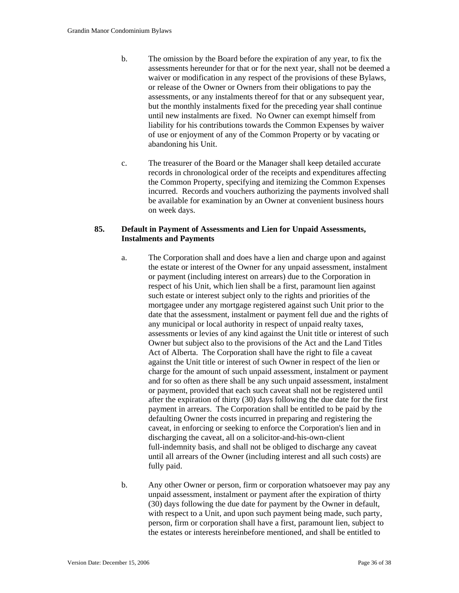- b. The omission by the Board before the expiration of any year, to fix the assessments hereunder for that or for the next year, shall not be deemed a waiver or modification in any respect of the provisions of these Bylaws, or release of the Owner or Owners from their obligations to pay the assessments, or any instalments thereof for that or any subsequent year, but the monthly instalments fixed for the preceding year shall continue until new instalments are fixed. No Owner can exempt himself from liability for his contributions towards the Common Expenses by waiver of use or enjoyment of any of the Common Property or by vacating or abandoning his Unit.
- c. The treasurer of the Board or the Manager shall keep detailed accurate records in chronological order of the receipts and expenditures affecting the Common Property, specifying and itemizing the Common Expenses incurred. Records and vouchers authorizing the payments involved shall be available for examination by an Owner at convenient business hours on week days.

# **85. Default in Payment of Assessments and Lien for Unpaid Assessments, Instalments and Payments**

- a. The Corporation shall and does have a lien and charge upon and against the estate or interest of the Owner for any unpaid assessment, instalment or payment (including interest on arrears) due to the Corporation in respect of his Unit, which lien shall be a first, paramount lien against such estate or interest subject only to the rights and priorities of the mortgagee under any mortgage registered against such Unit prior to the date that the assessment, instalment or payment fell due and the rights of any municipal or local authority in respect of unpaid realty taxes, assessments or levies of any kind against the Unit title or interest of such Owner but subject also to the provisions of the Act and the Land Titles Act of Alberta. The Corporation shall have the right to file a caveat against the Unit title or interest of such Owner in respect of the lien or charge for the amount of such unpaid assessment, instalment or payment and for so often as there shall be any such unpaid assessment, instalment or payment, provided that each such caveat shall not be registered until after the expiration of thirty (30) days following the due date for the first payment in arrears. The Corporation shall be entitled to be paid by the defaulting Owner the costs incurred in preparing and registering the caveat, in enforcing or seeking to enforce the Corporation's lien and in discharging the caveat, all on a solicitor-and-his-own-client full-indemnity basis, and shall not be obliged to discharge any caveat until all arrears of the Owner (including interest and all such costs) are fully paid.
- b. Any other Owner or person, firm or corporation whatsoever may pay any unpaid assessment, instalment or payment after the expiration of thirty (30) days following the due date for payment by the Owner in default, with respect to a Unit, and upon such payment being made, such party, person, firm or corporation shall have a first, paramount lien, subject to the estates or interests hereinbefore mentioned, and shall be entitled to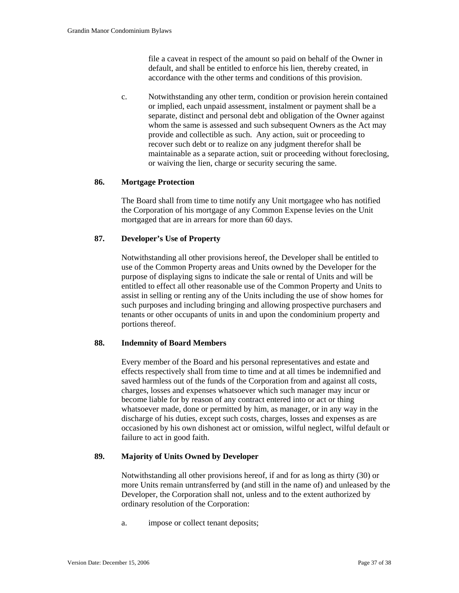file a caveat in respect of the amount so paid on behalf of the Owner in default, and shall be entitled to enforce his lien, thereby created, in accordance with the other terms and conditions of this provision.

 c. Notwithstanding any other term, condition or provision herein contained or implied, each unpaid assessment, instalment or payment shall be a separate, distinct and personal debt and obligation of the Owner against whom the same is assessed and such subsequent Owners as the Act may provide and collectible as such. Any action, suit or proceeding to recover such debt or to realize on any judgment therefor shall be maintainable as a separate action, suit or proceeding without foreclosing, or waiving the lien, charge or security securing the same.

## **86. Mortgage Protection**

The Board shall from time to time notify any Unit mortgagee who has notified the Corporation of his mortgage of any Common Expense levies on the Unit mortgaged that are in arrears for more than 60 days.

## **87. Developer's Use of Property**

Notwithstanding all other provisions hereof, the Developer shall be entitled to use of the Common Property areas and Units owned by the Developer for the purpose of displaying signs to indicate the sale or rental of Units and will be entitled to effect all other reasonable use of the Common Property and Units to assist in selling or renting any of the Units including the use of show homes for such purposes and including bringing and allowing prospective purchasers and tenants or other occupants of units in and upon the condominium property and portions thereof.

## **88. Indemnity of Board Members**

Every member of the Board and his personal representatives and estate and effects respectively shall from time to time and at all times be indemnified and saved harmless out of the funds of the Corporation from and against all costs, charges, losses and expenses whatsoever which such manager may incur or become liable for by reason of any contract entered into or act or thing whatsoever made, done or permitted by him, as manager, or in any way in the discharge of his duties, except such costs, charges, losses and expenses as are occasioned by his own dishonest act or omission, wilful neglect, wilful default or failure to act in good faith.

## **89. Majority of Units Owned by Developer**

Notwithstanding all other provisions hereof, if and for as long as thirty (30) or more Units remain untransferred by (and still in the name of) and unleased by the Developer, the Corporation shall not, unless and to the extent authorized by ordinary resolution of the Corporation:

a. impose or collect tenant deposits;